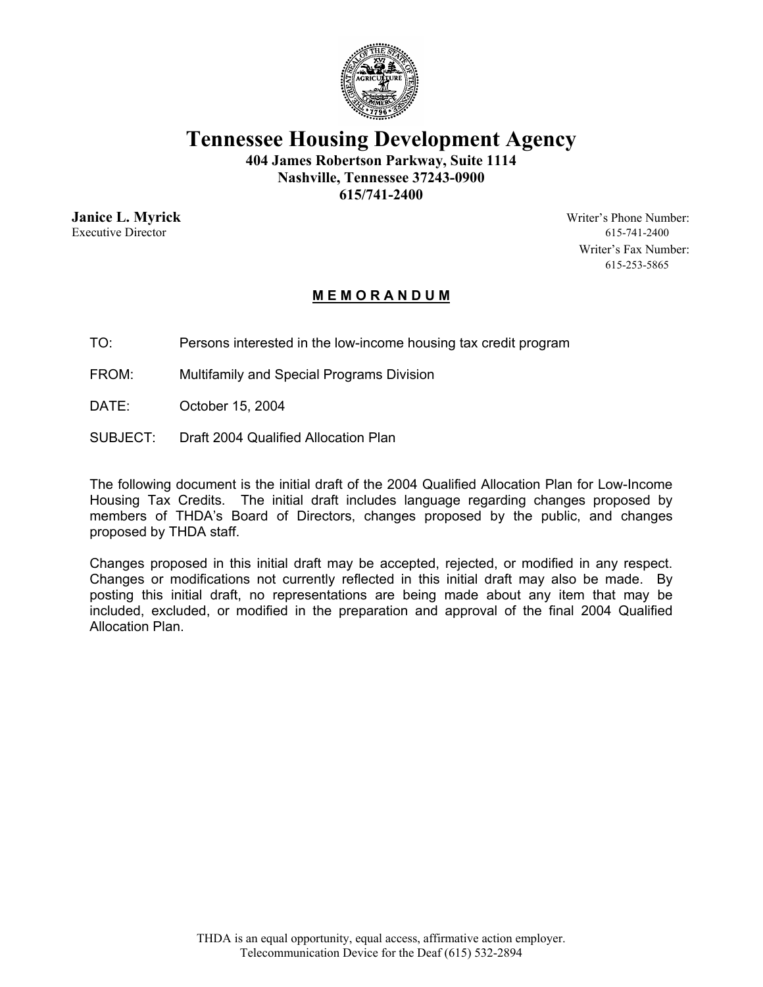

**Tennessee Housing Development Agency** 

**404 James Robertson Parkway, Suite 1114 Nashville, Tennessee 37243-0900** 

**615/741-2400** 

Executive Director 615-741-2400

**Janice L. Myrick** Writer's Phone Number: Writer's Fax Number: 615-253-5865

#### **M E M O R A N D U M**

TO: Persons interested in the low-income housing tax credit program

FROM: Multifamily and Special Programs Division

DATE: October 15, 2004

SUBJECT: Draft 2004 Qualified Allocation Plan

The following document is the initial draft of the 2004 Qualified Allocation Plan for Low-Income Housing Tax Credits. The initial draft includes language regarding changes proposed by members of THDA's Board of Directors, changes proposed by the public, and changes proposed by THDA staff.

Changes proposed in this initial draft may be accepted, rejected, or modified in any respect. Changes or modifications not currently reflected in this initial draft may also be made. By posting this initial draft, no representations are being made about any item that may be included, excluded, or modified in the preparation and approval of the final 2004 Qualified Allocation Plan.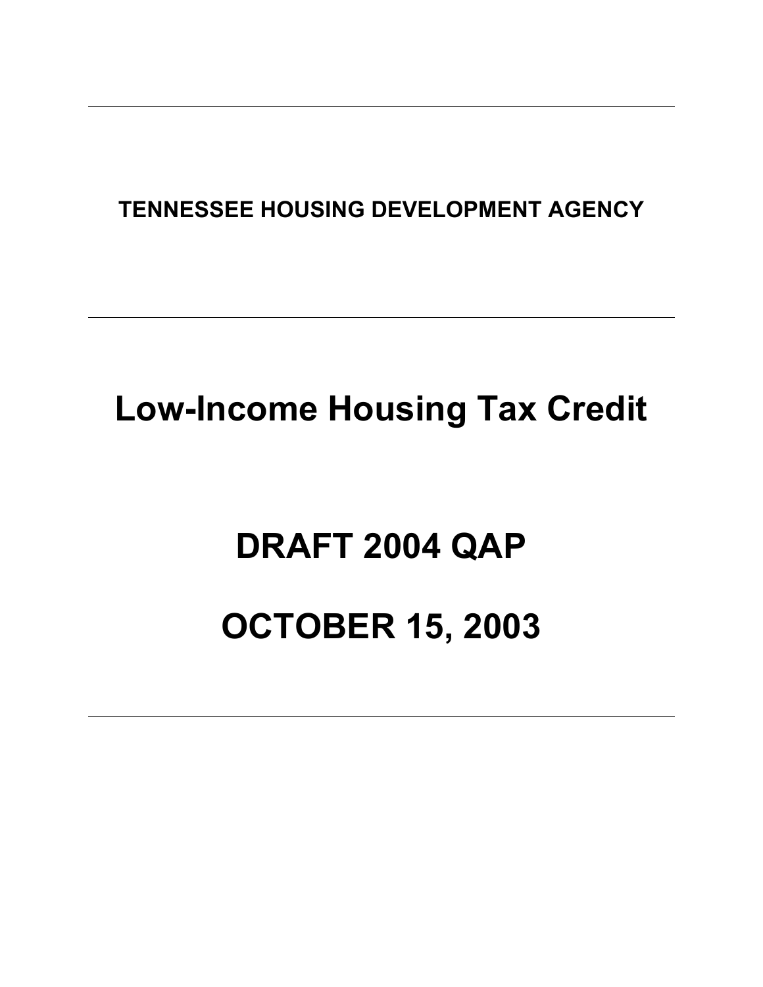### **TENNESSEE HOUSING DEVELOPMENT AGENCY**

## **Low-Income Housing Tax Credit**

# **DRAFT 2004 QAP**

## **OCTOBER 15, 2003**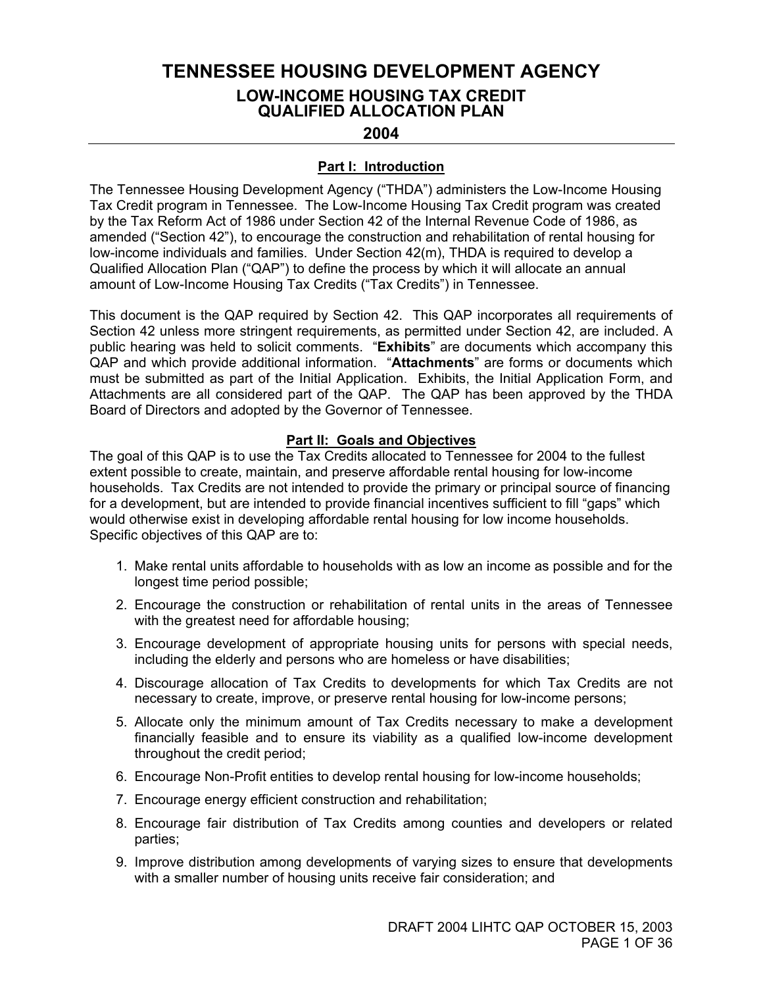#### **TENNESSEE HOUSING DEVELOPMENT AGENCY LOW-INCOME HOUSING TAX CREDIT QUALIFIED ALLOCATION PLAN**

#### **2004**

#### **Part I: Introduction**

The Tennessee Housing Development Agency ("THDA") administers the Low-Income Housing Tax Credit program in Tennessee. The Low-Income Housing Tax Credit program was created by the Tax Reform Act of 1986 under Section 42 of the Internal Revenue Code of 1986, as amended ("Section 42"), to encourage the construction and rehabilitation of rental housing for low-income individuals and families. Under Section 42(m), THDA is required to develop a Qualified Allocation Plan ("QAP") to define the process by which it will allocate an annual amount of Low-Income Housing Tax Credits ("Tax Credits") in Tennessee.

This document is the QAP required by Section 42. This QAP incorporates all requirements of Section 42 unless more stringent requirements, as permitted under Section 42, are included. A public hearing was held to solicit comments. "**Exhibits**" are documents which accompany this QAP and which provide additional information. "**Attachments**" are forms or documents which must be submitted as part of the Initial Application. Exhibits, the Initial Application Form, and Attachments are all considered part of the QAP. The QAP has been approved by the THDA Board of Directors and adopted by the Governor of Tennessee.

#### **Part II: Goals and Objectives**

The goal of this QAP is to use the Tax Credits allocated to Tennessee for 2004 to the fullest extent possible to create, maintain, and preserve affordable rental housing for low-income households. Tax Credits are not intended to provide the primary or principal source of financing for a development, but are intended to provide financial incentives sufficient to fill "gaps" which would otherwise exist in developing affordable rental housing for low income households. Specific objectives of this QAP are to:

- 1. Make rental units affordable to households with as low an income as possible and for the longest time period possible;
- 2. Encourage the construction or rehabilitation of rental units in the areas of Tennessee with the greatest need for affordable housing;
- 3. Encourage development of appropriate housing units for persons with special needs, including the elderly and persons who are homeless or have disabilities;
- 4. Discourage allocation of Tax Credits to developments for which Tax Credits are not necessary to create, improve, or preserve rental housing for low-income persons;
- 5. Allocate only the minimum amount of Tax Credits necessary to make a development financially feasible and to ensure its viability as a qualified low-income development throughout the credit period;
- 6. Encourage Non-Profit entities to develop rental housing for low-income households;
- 7. Encourage energy efficient construction and rehabilitation;
- 8. Encourage fair distribution of Tax Credits among counties and developers or related parties;
- 9. Improve distribution among developments of varying sizes to ensure that developments with a smaller number of housing units receive fair consideration; and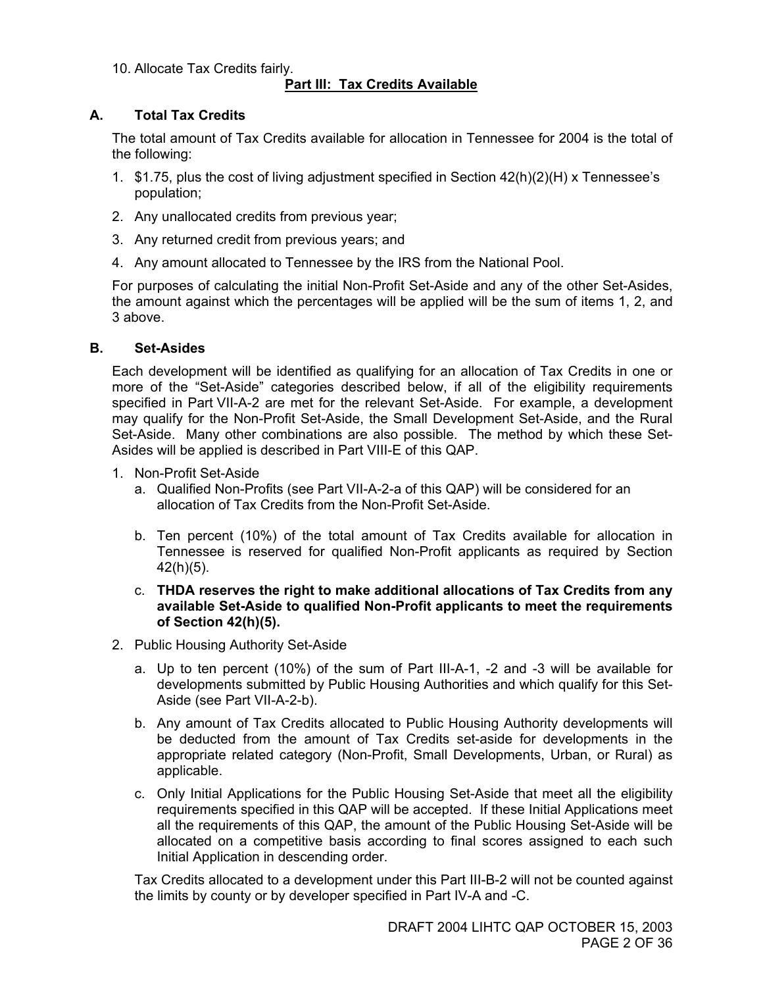10. Allocate Tax Credits fairly.

#### **Part III: Tax Credits Available**

#### **A. Total Tax Credits**

The total amount of Tax Credits available for allocation in Tennessee for 2004 is the total of the following:

- 1. \$1.75, plus the cost of living adjustment specified in Section 42(h)(2)(H) x Tennessee's population;
- 2. Any unallocated credits from previous year;
- 3. Any returned credit from previous years; and
- 4. Any amount allocated to Tennessee by the IRS from the National Pool.

For purposes of calculating the initial Non-Profit Set-Aside and any of the other Set-Asides, the amount against which the percentages will be applied will be the sum of items 1, 2, and 3 above.

#### **B. Set-Asides**

Each development will be identified as qualifying for an allocation of Tax Credits in one or more of the "Set-Aside" categories described below, if all of the eligibility requirements specified in Part VII-A-2 are met for the relevant Set-Aside. For example, a development may qualify for the Non-Profit Set-Aside, the Small Development Set-Aside, and the Rural Set-Aside. Many other combinations are also possible. The method by which these Set-Asides will be applied is described in Part VIII-E of this QAP.

- 1. Non-Profit Set-Aside
	- a. Qualified Non-Profits (see Part VII-A-2-a of this QAP) will be considered for an allocation of Tax Credits from the Non-Profit Set-Aside.
	- b. Ten percent (10%) of the total amount of Tax Credits available for allocation in Tennessee is reserved for qualified Non-Profit applicants as required by Section 42(h)(5).
	- c. **THDA reserves the right to make additional allocations of Tax Credits from any available Set-Aside to qualified Non-Profit applicants to meet the requirements of Section 42(h)(5).**
- 2. Public Housing Authority Set-Aside
	- a. Up to ten percent (10%) of the sum of Part III-A-1, -2 and -3 will be available for developments submitted by Public Housing Authorities and which qualify for this Set-Aside (see Part VII-A-2-b).
	- b. Any amount of Tax Credits allocated to Public Housing Authority developments will be deducted from the amount of Tax Credits set-aside for developments in the appropriate related category (Non-Profit, Small Developments, Urban, or Rural) as applicable.
	- c. Only Initial Applications for the Public Housing Set-Aside that meet all the eligibility requirements specified in this QAP will be accepted. If these Initial Applications meet all the requirements of this QAP, the amount of the Public Housing Set-Aside will be allocated on a competitive basis according to final scores assigned to each such Initial Application in descending order.

Tax Credits allocated to a development under this Part III-B-2 will not be counted against the limits by county or by developer specified in Part IV-A and -C.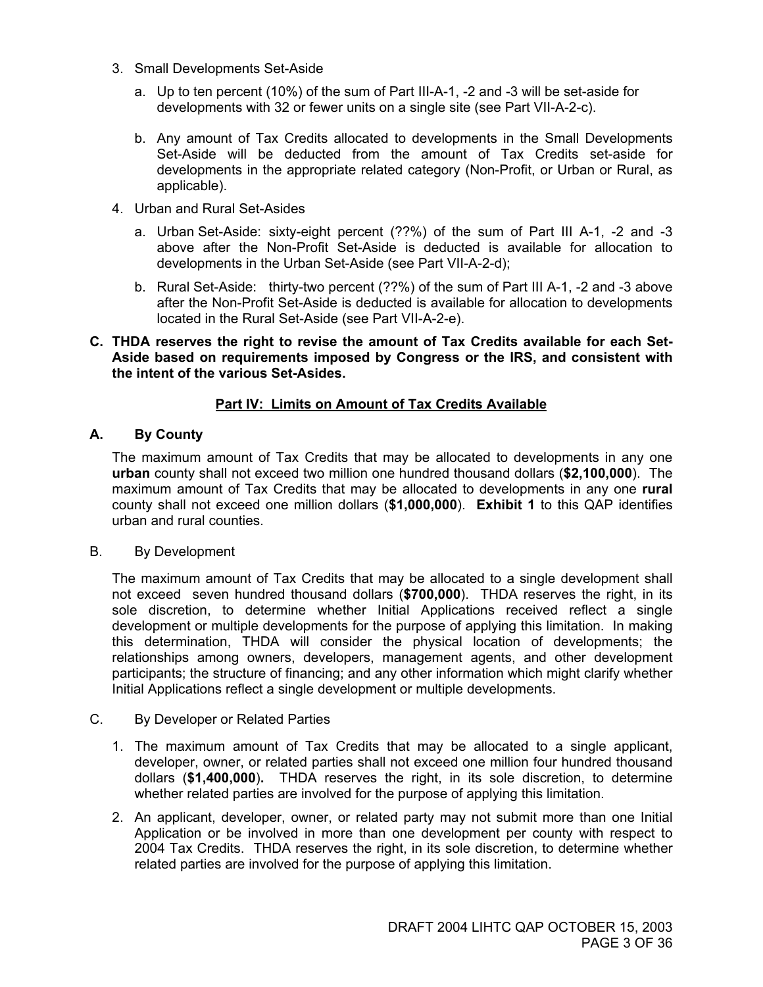- 3. Small Developments Set-Aside
	- a. Up to ten percent (10%) of the sum of Part III-A-1, -2 and -3 will be set-aside for developments with 32 or fewer units on a single site (see Part VII-A-2-c).
	- b. Any amount of Tax Credits allocated to developments in the Small Developments Set-Aside will be deducted from the amount of Tax Credits set-aside for developments in the appropriate related category (Non-Profit, or Urban or Rural, as applicable).
- 4. Urban and Rural Set-Asides
	- a. Urban Set-Aside: sixty-eight percent (??%) of the sum of Part III A-1, -2 and -3 above after the Non-Profit Set-Aside is deducted is available for allocation to developments in the Urban Set-Aside (see Part VII-A-2-d);
	- b. Rural Set-Aside: thirty-two percent (??%) of the sum of Part III A-1, -2 and -3 above after the Non-Profit Set-Aside is deducted is available for allocation to developments located in the Rural Set-Aside (see Part VII-A-2-e).

#### **C. THDA reserves the right to revise the amount of Tax Credits available for each Set-Aside based on requirements imposed by Congress or the IRS, and consistent with the intent of the various Set-Asides.**

#### **Part IV: Limits on Amount of Tax Credits Available**

#### **A. By County**

The maximum amount of Tax Credits that may be allocated to developments in any one **urban** county shall not exceed two million one hundred thousand dollars (**\$2,100,000**). The maximum amount of Tax Credits that may be allocated to developments in any one **rural** county shall not exceed one million dollars (**\$1,000,000**). **Exhibit 1** to this QAP identifies urban and rural counties.

#### B. By Development

The maximum amount of Tax Credits that may be allocated to a single development shall not exceed seven hundred thousand dollars (**\$700,000**). THDA reserves the right, in its sole discretion, to determine whether Initial Applications received reflect a single development or multiple developments for the purpose of applying this limitation. In making this determination, THDA will consider the physical location of developments; the relationships among owners, developers, management agents, and other development participants; the structure of financing; and any other information which might clarify whether Initial Applications reflect a single development or multiple developments.

#### C. By Developer or Related Parties

- 1. The maximum amount of Tax Credits that may be allocated to a single applicant, developer, owner, or related parties shall not exceed one million four hundred thousand dollars (**\$1,400,000**)**.** THDA reserves the right, in its sole discretion, to determine whether related parties are involved for the purpose of applying this limitation.
- 2. An applicant, developer, owner, or related party may not submit more than one Initial Application or be involved in more than one development per county with respect to 2004 Tax Credits. THDA reserves the right, in its sole discretion, to determine whether related parties are involved for the purpose of applying this limitation.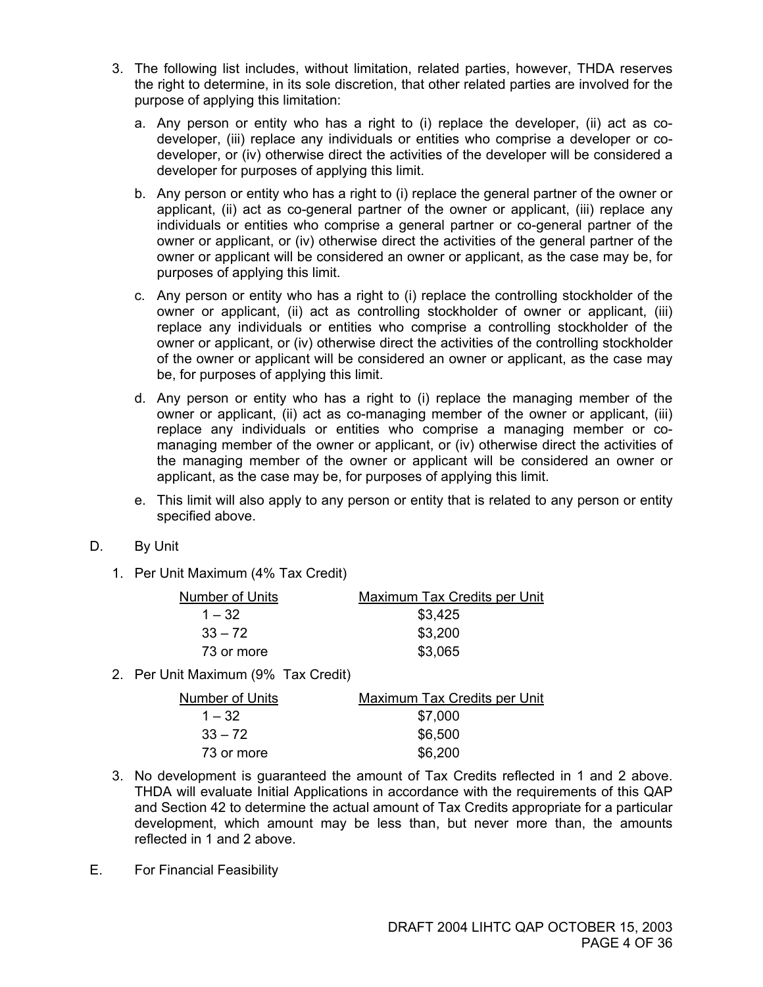- 3. The following list includes, without limitation, related parties, however, THDA reserves the right to determine, in its sole discretion, that other related parties are involved for the purpose of applying this limitation:
	- a. Any person or entity who has a right to (i) replace the developer, (ii) act as codeveloper, (iii) replace any individuals or entities who comprise a developer or codeveloper, or (iv) otherwise direct the activities of the developer will be considered a developer for purposes of applying this limit.
	- b. Any person or entity who has a right to (i) replace the general partner of the owner or applicant, (ii) act as co-general partner of the owner or applicant, (iii) replace any individuals or entities who comprise a general partner or co-general partner of the owner or applicant, or (iv) otherwise direct the activities of the general partner of the owner or applicant will be considered an owner or applicant, as the case may be, for purposes of applying this limit.
	- c. Any person or entity who has a right to (i) replace the controlling stockholder of the owner or applicant, (ii) act as controlling stockholder of owner or applicant, (iii) replace any individuals or entities who comprise a controlling stockholder of the owner or applicant, or (iv) otherwise direct the activities of the controlling stockholder of the owner or applicant will be considered an owner or applicant, as the case may be, for purposes of applying this limit.
	- d. Any person or entity who has a right to (i) replace the managing member of the owner or applicant, (ii) act as co-managing member of the owner or applicant, (iii) replace any individuals or entities who comprise a managing member or comanaging member of the owner or applicant, or (iv) otherwise direct the activities of the managing member of the owner or applicant will be considered an owner or applicant, as the case may be, for purposes of applying this limit.
	- e. This limit will also apply to any person or entity that is related to any person or entity specified above.
- D. By Unit
	- 1. Per Unit Maximum (4% Tax Credit)

| Number of Units | Maximum Tax Credits per Unit |
|-----------------|------------------------------|
| $1 - 32$        | \$3,425                      |
| $33 - 72$       | \$3,200                      |
| 73 or more      | \$3,065                      |

2. Per Unit Maximum (9% Tax Credit)

| <b>Number of Units</b> | Maximum Tax Credits per Unit |
|------------------------|------------------------------|
| $1 - 32$               | \$7,000                      |
| $33 - 72$              | \$6,500                      |
| 73 or more             | \$6,200                      |

- 3. No development is guaranteed the amount of Tax Credits reflected in 1 and 2 above. THDA will evaluate Initial Applications in accordance with the requirements of this QAP and Section 42 to determine the actual amount of Tax Credits appropriate for a particular development, which amount may be less than, but never more than, the amounts reflected in 1 and 2 above.
- E. For Financial Feasibility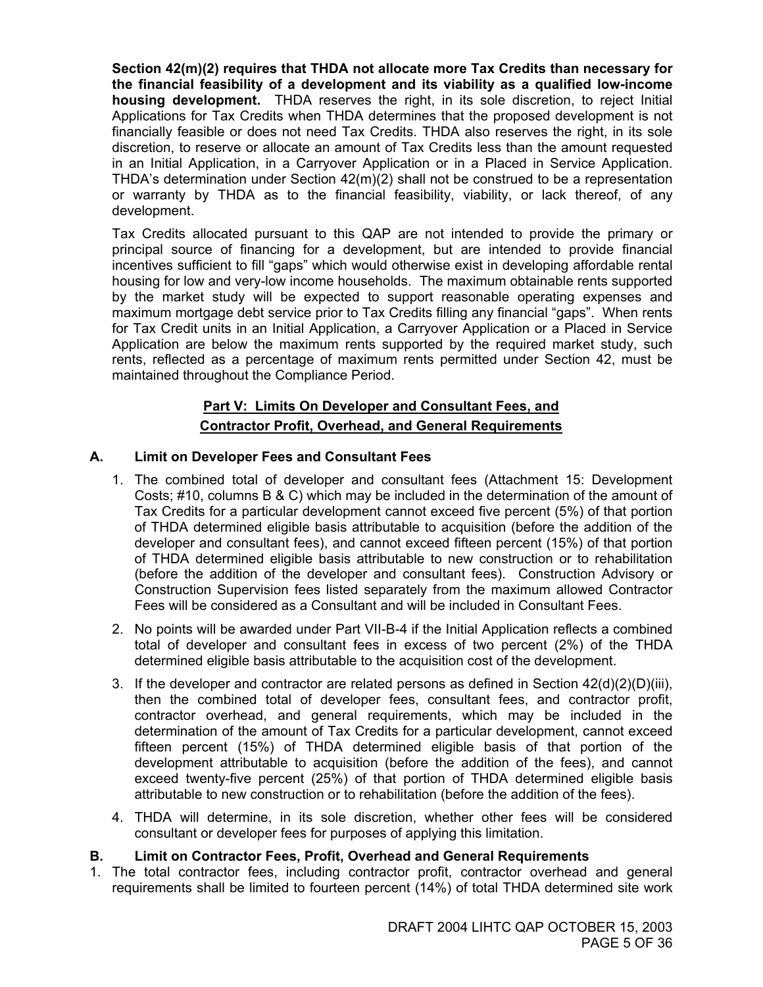**Section 42(m)(2) requires that THDA not allocate more Tax Credits than necessary for the financial feasibility of a development and its viability as a qualified low-income housing development.** THDA reserves the right, in its sole discretion, to reject Initial Applications for Tax Credits when THDA determines that the proposed development is not financially feasible or does not need Tax Credits. THDA also reserves the right, in its sole discretion, to reserve or allocate an amount of Tax Credits less than the amount requested in an Initial Application, in a Carryover Application or in a Placed in Service Application. THDA's determination under Section 42(m)(2) shall not be construed to be a representation or warranty by THDA as to the financial feasibility, viability, or lack thereof, of any development.

Tax Credits allocated pursuant to this QAP are not intended to provide the primary or principal source of financing for a development, but are intended to provide financial incentives sufficient to fill "gaps" which would otherwise exist in developing affordable rental housing for low and very-low income households. The maximum obtainable rents supported by the market study will be expected to support reasonable operating expenses and maximum mortgage debt service prior to Tax Credits filling any financial "gaps". When rents for Tax Credit units in an Initial Application, a Carryover Application or a Placed in Service Application are below the maximum rents supported by the required market study, such rents, reflected as a percentage of maximum rents permitted under Section 42, must be maintained throughout the Compliance Period.

#### **Part V: Limits On Developer and Consultant Fees, and Contractor Profit, Overhead, and General Requirements**

#### **A. Limit on Developer Fees and Consultant Fees**

- 1. The combined total of developer and consultant fees (Attachment 15: Development Costs; #10, columns B & C) which may be included in the determination of the amount of Tax Credits for a particular development cannot exceed five percent (5%) of that portion of THDA determined eligible basis attributable to acquisition (before the addition of the developer and consultant fees), and cannot exceed fifteen percent (15%) of that portion of THDA determined eligible basis attributable to new construction or to rehabilitation (before the addition of the developer and consultant fees). Construction Advisory or Construction Supervision fees listed separately from the maximum allowed Contractor Fees will be considered as a Consultant and will be included in Consultant Fees.
- 2. No points will be awarded under Part VII-B-4 if the Initial Application reflects a combined total of developer and consultant fees in excess of two percent (2%) of the THDA determined eligible basis attributable to the acquisition cost of the development.
- 3. If the developer and contractor are related persons as defined in Section  $42(d)(2)(D)(iii)$ , then the combined total of developer fees, consultant fees, and contractor profit, contractor overhead, and general requirements, which may be included in the determination of the amount of Tax Credits for a particular development, cannot exceed fifteen percent (15%) of THDA determined eligible basis of that portion of the development attributable to acquisition (before the addition of the fees), and cannot exceed twenty-five percent (25%) of that portion of THDA determined eligible basis attributable to new construction or to rehabilitation (before the addition of the fees).
- 4. THDA will determine, in its sole discretion, whether other fees will be considered consultant or developer fees for purposes of applying this limitation.

#### **B. Limit on Contractor Fees, Profit, Overhead and General Requirements**

1. The total contractor fees, including contractor profit, contractor overhead and general requirements shall be limited to fourteen percent (14%) of total THDA determined site work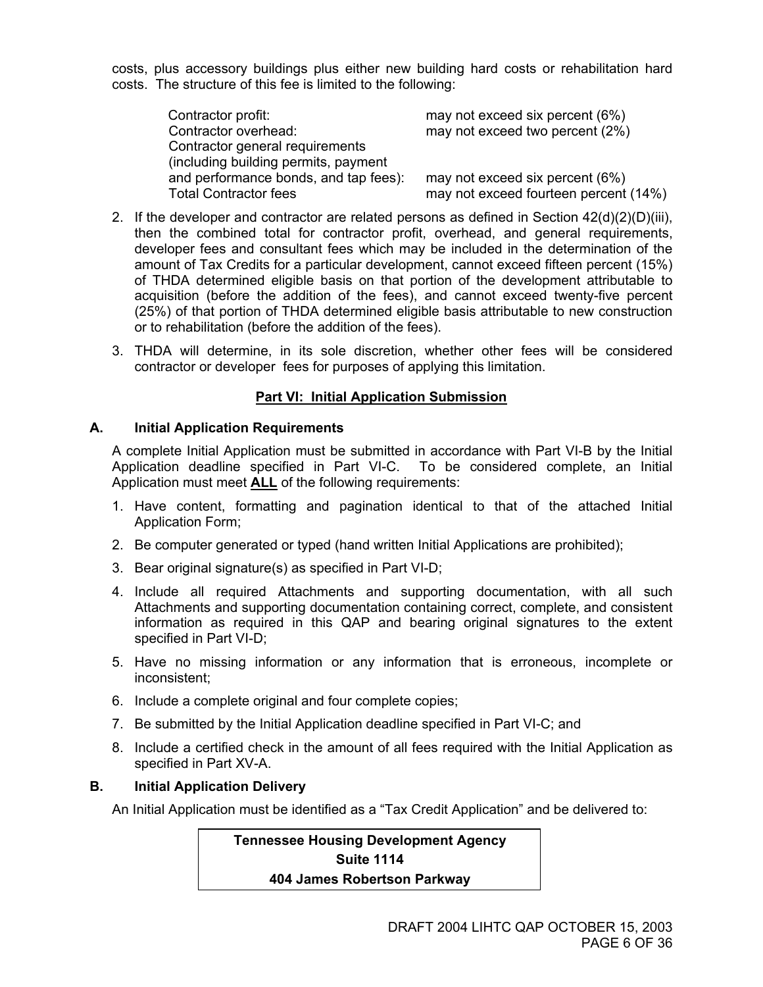costs, plus accessory buildings plus either new building hard costs or rehabilitation hard costs. The structure of this fee is limited to the following:

Contractor profit: may not exceed six percent (6%) Contractor overhead: may not exceed two percent (2%) Contractor general requirements (including building permits, payment and performance bonds, and tap fees): may not exceed six percent (6%) Total Contractor fees may not exceed fourteen percent (14%)

- 2. If the developer and contractor are related persons as defined in Section  $42(d)(2)(D)(iii)$ , then the combined total for contractor profit, overhead, and general requirements, developer fees and consultant fees which may be included in the determination of the amount of Tax Credits for a particular development, cannot exceed fifteen percent (15%) of THDA determined eligible basis on that portion of the development attributable to acquisition (before the addition of the fees), and cannot exceed twenty-five percent (25%) of that portion of THDA determined eligible basis attributable to new construction or to rehabilitation (before the addition of the fees).
- 3. THDA will determine, in its sole discretion, whether other fees will be considered contractor or developer fees for purposes of applying this limitation.

#### **Part VI: Initial Application Submission**

#### **A. Initial Application Requirements**

A complete Initial Application must be submitted in accordance with Part VI-B by the Initial Application deadline specified in Part VI-C. To be considered complete, an Initial Application must meet **ALL** of the following requirements:

- 1. Have content, formatting and pagination identical to that of the attached Initial Application Form;
- 2. Be computer generated or typed (hand written Initial Applications are prohibited);
- 3. Bear original signature(s) as specified in Part VI-D;
- 4. Include all required Attachments and supporting documentation, with all such Attachments and supporting documentation containing correct, complete, and consistent information as required in this QAP and bearing original signatures to the extent specified in Part VI-D;
- 5. Have no missing information or any information that is erroneous, incomplete or inconsistent;
- 6. Include a complete original and four complete copies;
- 7. Be submitted by the Initial Application deadline specified in Part VI-C; and
- 8. Include a certified check in the amount of all fees required with the Initial Application as specified in Part XV-A.

#### **B. Initial Application Delivery**

An Initial Application must be identified as a "Tax Credit Application" and be delivered to:

**Tennessee Housing Development Agency Suite 1114 404 James Robertson Parkway**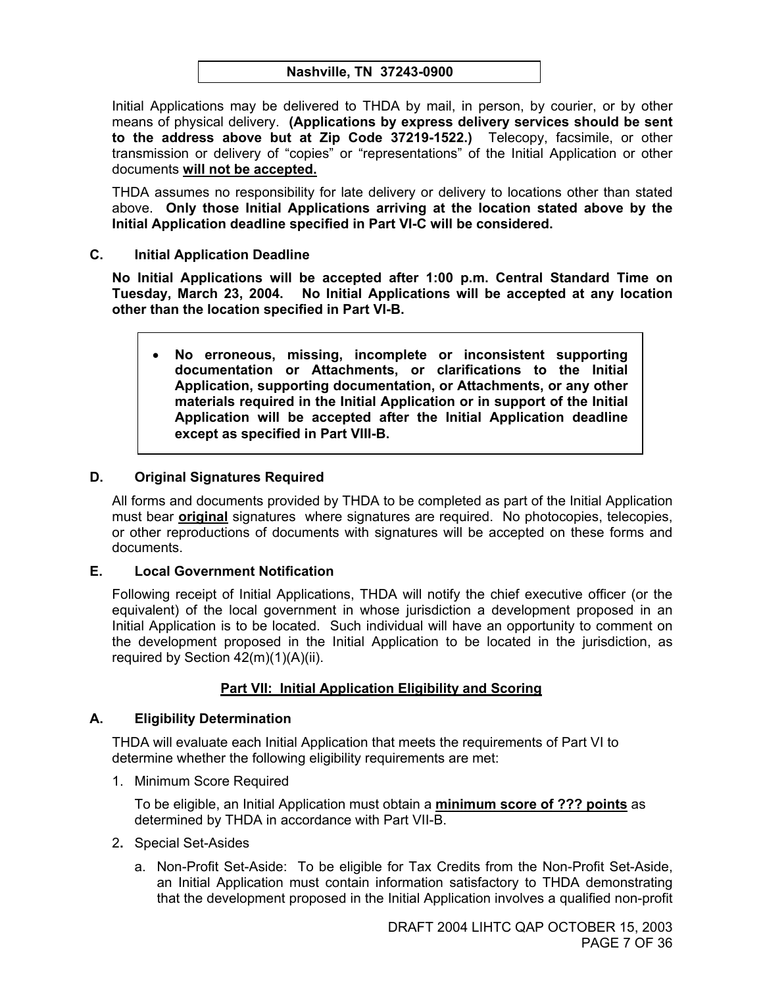Initial Applications may be delivered to THDA by mail, in person, by courier, or by other means of physical delivery. **(Applications by express delivery services should be sent to the address above but at Zip Code 37219-1522.)** Telecopy, facsimile, or other transmission or delivery of "copies" or "representations" of the Initial Application or other documents **will not be accepted.**

THDA assumes no responsibility for late delivery or delivery to locations other than stated above. **Only those Initial Applications arriving at the location stated above by the Initial Application deadline specified in Part VI-C will be considered.** 

**C. Initial Application Deadline** 

**No Initial Applications will be accepted after 1:00 p.m. Central Standard Time on Tuesday, March 23, 2004. No Initial Applications will be accepted at any location other than the location specified in Part VI-B.** 

• **No erroneous, missing, incomplete or inconsistent supporting documentation or Attachments, or clarifications to the Initial Application, supporting documentation, or Attachments, or any other materials required in the Initial Application or in support of the Initial Application will be accepted after the Initial Application deadline except as specified in Part VIII-B.** 

#### **D. Original Signatures Required**

All forms and documents provided by THDA to be completed as part of the Initial Application must bear **original** signatures where signatures are required. No photocopies, telecopies, or other reproductions of documents with signatures will be accepted on these forms and documents.

#### **E. Local Government Notification**

Following receipt of Initial Applications, THDA will notify the chief executive officer (or the equivalent) of the local government in whose jurisdiction a development proposed in an Initial Application is to be located. Such individual will have an opportunity to comment on the development proposed in the Initial Application to be located in the jurisdiction, as required by Section 42(m)(1)(A)(ii).

#### **Part VII: Initial Application Eligibility and Scoring**

#### **A. Eligibility Determination**

THDA will evaluate each Initial Application that meets the requirements of Part VI to determine whether the following eligibility requirements are met:

1. Minimum Score Required

To be eligible, an Initial Application must obtain a **minimum score of ??? points** as determined by THDA in accordance with Part VII-B.

- 2**.** Special Set-Asides
	- a. Non-Profit Set-Aside: To be eligible for Tax Credits from the Non-Profit Set-Aside, an Initial Application must contain information satisfactory to THDA demonstrating that the development proposed in the Initial Application involves a qualified non-profit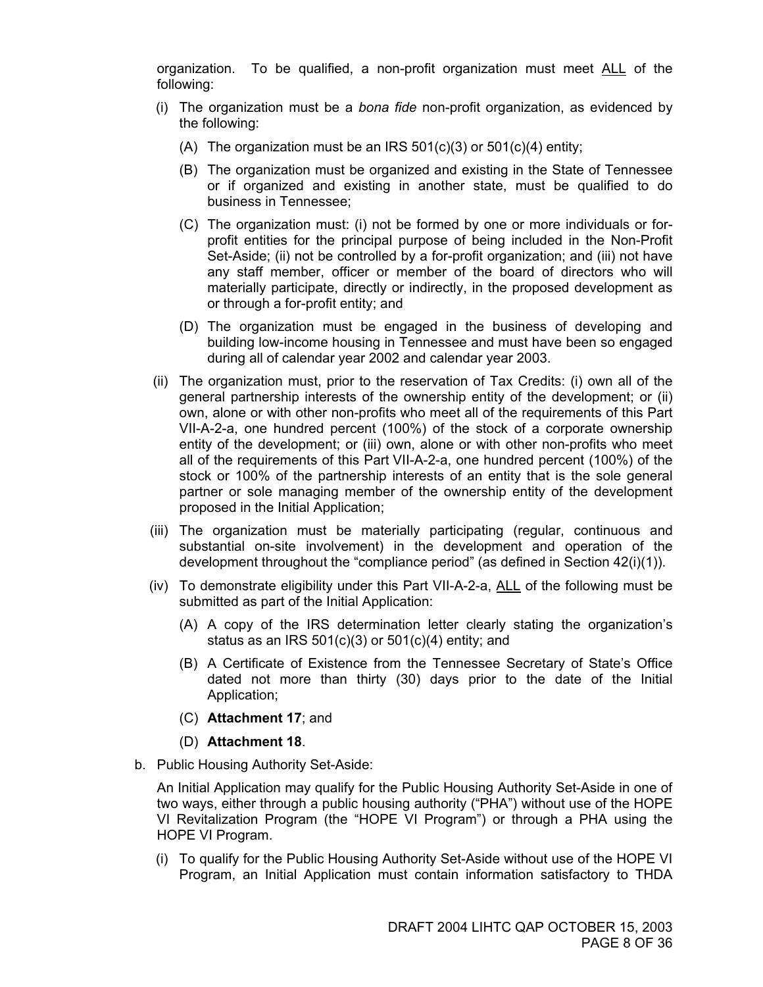organization. To be qualified, a non-profit organization must meet ALL of the following:

- (i) The organization must be a *bona fide* non-profit organization, as evidenced by the following:
	- (A) The organization must be an IRS  $501(c)(3)$  or  $501(c)(4)$  entity;
	- (B) The organization must be organized and existing in the State of Tennessee or if organized and existing in another state, must be qualified to do business in Tennessee;
	- (C) The organization must: (i) not be formed by one or more individuals or forprofit entities for the principal purpose of being included in the Non-Profit Set-Aside; (ii) not be controlled by a for-profit organization; and (iii) not have any staff member, officer or member of the board of directors who will materially participate, directly or indirectly, in the proposed development as or through a for-profit entity; and
	- (D) The organization must be engaged in the business of developing and building low-income housing in Tennessee and must have been so engaged during all of calendar year 2002 and calendar year 2003.
- (ii) The organization must, prior to the reservation of Tax Credits: (i) own all of the general partnership interests of the ownership entity of the development; or (ii) own, alone or with other non-profits who meet all of the requirements of this Part VII-A-2-a, one hundred percent (100%) of the stock of a corporate ownership entity of the development; or (iii) own, alone or with other non-profits who meet all of the requirements of this Part VII-A-2-a, one hundred percent (100%) of the stock or 100% of the partnership interests of an entity that is the sole general partner or sole managing member of the ownership entity of the development proposed in the Initial Application;
- (iii) The organization must be materially participating (regular, continuous and substantial on-site involvement) in the development and operation of the development throughout the "compliance period" (as defined in Section 42(i)(1)).
- (iv) To demonstrate eligibility under this Part VII-A-2-a, ALL of the following must be submitted as part of the Initial Application:
	- (A) A copy of the IRS determination letter clearly stating the organization's status as an IRS  $501(c)(3)$  or  $501(c)(4)$  entity; and
	- (B) A Certificate of Existence from the Tennessee Secretary of State's Office dated not more than thirty (30) days prior to the date of the Initial Application;
	- (C) **Attachment 17**; and
	- (D) **Attachment 18**.
- b. Public Housing Authority Set-Aside:

An Initial Application may qualify for the Public Housing Authority Set-Aside in one of two ways, either through a public housing authority ("PHA") without use of the HOPE VI Revitalization Program (the "HOPE VI Program") or through a PHA using the HOPE VI Program.

 (i) To qualify for the Public Housing Authority Set-Aside without use of the HOPE VI Program, an Initial Application must contain information satisfactory to THDA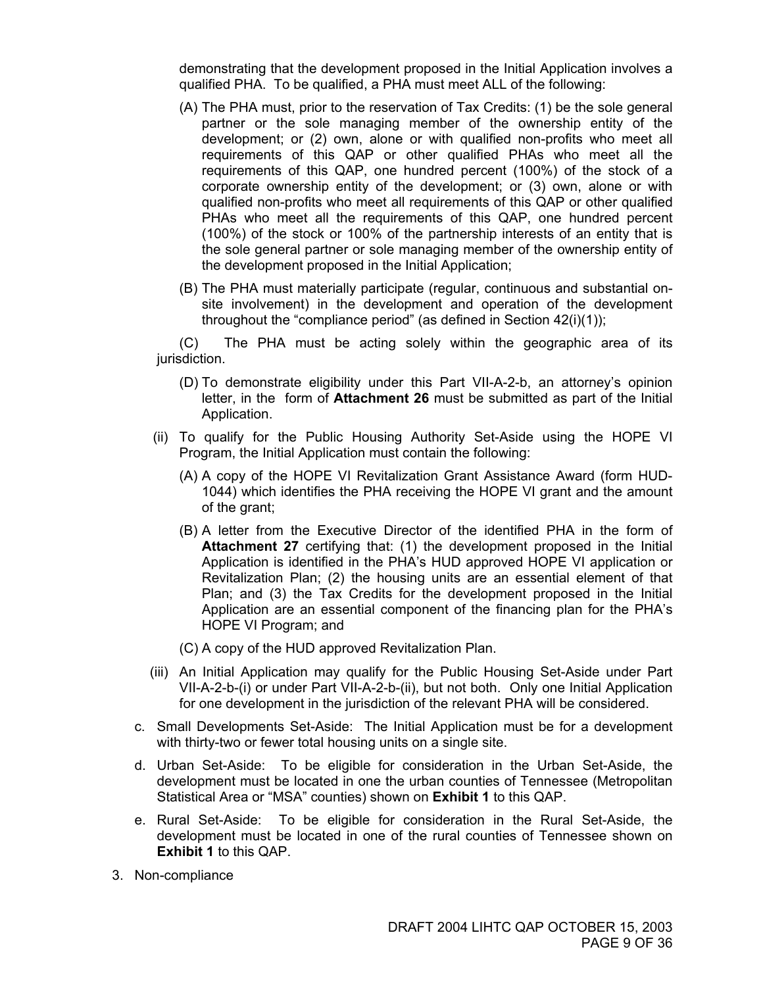demonstrating that the development proposed in the Initial Application involves a qualified PHA. To be qualified, a PHA must meet ALL of the following:

- (A) The PHA must, prior to the reservation of Tax Credits: (1) be the sole general partner or the sole managing member of the ownership entity of the development; or (2) own, alone or with qualified non-profits who meet all requirements of this QAP or other qualified PHAs who meet all the requirements of this QAP, one hundred percent (100%) of the stock of a corporate ownership entity of the development; or (3) own, alone or with qualified non-profits who meet all requirements of this QAP or other qualified PHAs who meet all the requirements of this QAP, one hundred percent (100%) of the stock or 100% of the partnership interests of an entity that is the sole general partner or sole managing member of the ownership entity of the development proposed in the Initial Application;
- (B) The PHA must materially participate (regular, continuous and substantial onsite involvement) in the development and operation of the development throughout the "compliance period" (as defined in Section 42(i)(1));

(C) The PHA must be acting solely within the geographic area of its jurisdiction.

- (D) To demonstrate eligibility under this Part VII-A-2-b, an attorney's opinion letter, in the form of **Attachment 26** must be submitted as part of the Initial Application.
- (ii) To qualify for the Public Housing Authority Set-Aside using the HOPE VI Program, the Initial Application must contain the following:
	- (A) A copy of the HOPE VI Revitalization Grant Assistance Award (form HUD-1044) which identifies the PHA receiving the HOPE VI grant and the amount of the grant;
	- (B) A letter from the Executive Director of the identified PHA in the form of **Attachment 27** certifying that: (1) the development proposed in the Initial Application is identified in the PHA's HUD approved HOPE VI application or Revitalization Plan; (2) the housing units are an essential element of that Plan; and (3) the Tax Credits for the development proposed in the Initial Application are an essential component of the financing plan for the PHA's HOPE VI Program; and
	- (C) A copy of the HUD approved Revitalization Plan.
- (iii) An Initial Application may qualify for the Public Housing Set-Aside under Part VII-A-2-b-(i) or under Part VII-A-2-b-(ii), but not both. Only one Initial Application for one development in the jurisdiction of the relevant PHA will be considered.
- c. Small Developments Set-Aside: The Initial Application must be for a development with thirty-two or fewer total housing units on a single site.
- d. Urban Set-Aside: To be eligible for consideration in the Urban Set-Aside, the development must be located in one the urban counties of Tennessee (Metropolitan Statistical Area or "MSA" counties) shown on **Exhibit 1** to this QAP.
- e. Rural Set-Aside: To be eligible for consideration in the Rural Set-Aside, the development must be located in one of the rural counties of Tennessee shown on **Exhibit 1** to this QAP.
- 3. Non-compliance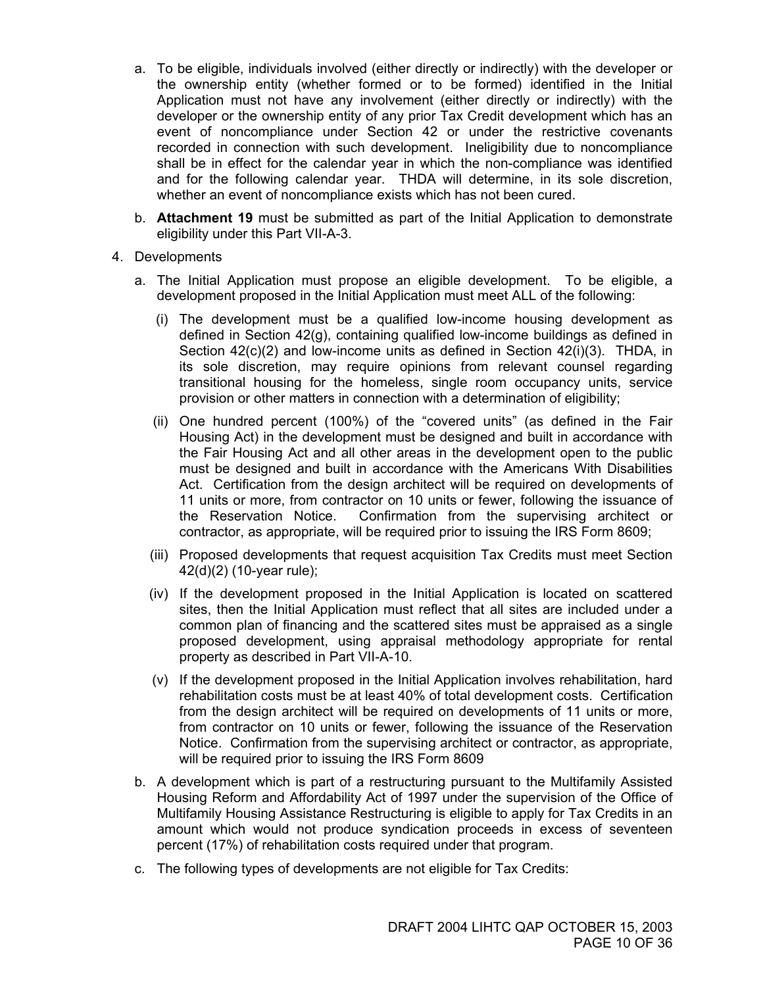- a. To be eligible, individuals involved (either directly or indirectly) with the developer or the ownership entity (whether formed or to be formed) identified in the Initial Application must not have any involvement (either directly or indirectly) with the developer or the ownership entity of any prior Tax Credit development which has an event of noncompliance under Section 42 or under the restrictive covenants recorded in connection with such development. Ineligibility due to noncompliance shall be in effect for the calendar year in which the non-compliance was identified and for the following calendar year. THDA will determine, in its sole discretion, whether an event of noncompliance exists which has not been cured.
- b. **Attachment 19** must be submitted as part of the Initial Application to demonstrate eligibility under this Part VII-A-3.
- 4. Developments
	- a. The Initial Application must propose an eligible development. To be eligible, a development proposed in the Initial Application must meet ALL of the following:
		- (i) The development must be a qualified low-income housing development as defined in Section 42(g), containing qualified low-income buildings as defined in Section 42(c)(2) and low-income units as defined in Section 42(i)(3). THDA, in its sole discretion, may require opinions from relevant counsel regarding transitional housing for the homeless, single room occupancy units, service provision or other matters in connection with a determination of eligibility;
		- (ii) One hundred percent (100%) of the "covered units" (as defined in the Fair Housing Act) in the development must be designed and built in accordance with the Fair Housing Act and all other areas in the development open to the public must be designed and built in accordance with the Americans With Disabilities Act. Certification from the design architect will be required on developments of 11 units or more, from contractor on 10 units or fewer, following the issuance of the Reservation Notice. Confirmation from the supervising architect or contractor, as appropriate, will be required prior to issuing the IRS Form 8609;
		- (iii) Proposed developments that request acquisition Tax Credits must meet Section 42(d)(2) (10-year rule);
		- (iv) If the development proposed in the Initial Application is located on scattered sites, then the Initial Application must reflect that all sites are included under a common plan of financing and the scattered sites must be appraised as a single proposed development, using appraisal methodology appropriate for rental property as described in Part VII-A-10.
		- (v) If the development proposed in the Initial Application involves rehabilitation, hard rehabilitation costs must be at least 40% of total development costs. Certification from the design architect will be required on developments of 11 units or more, from contractor on 10 units or fewer, following the issuance of the Reservation Notice. Confirmation from the supervising architect or contractor, as appropriate, will be required prior to issuing the IRS Form 8609
	- b. A development which is part of a restructuring pursuant to the Multifamily Assisted Housing Reform and Affordability Act of 1997 under the supervision of the Office of Multifamily Housing Assistance Restructuring is eligible to apply for Tax Credits in an amount which would not produce syndication proceeds in excess of seventeen percent (17%) of rehabilitation costs required under that program.
	- c. The following types of developments are not eligible for Tax Credits: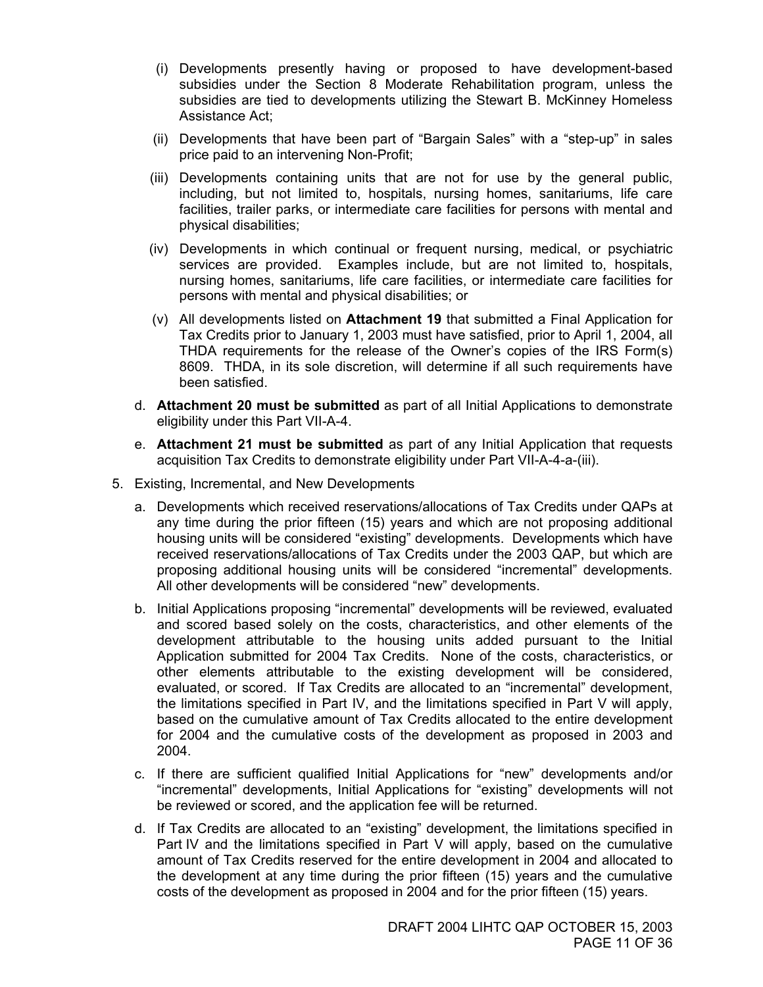- (i) Developments presently having or proposed to have development-based subsidies under the Section 8 Moderate Rehabilitation program, unless the subsidies are tied to developments utilizing the Stewart B. McKinney Homeless Assistance Act;
- (ii) Developments that have been part of "Bargain Sales" with a "step-up" in sales price paid to an intervening Non-Profit;
- (iii) Developments containing units that are not for use by the general public, including, but not limited to, hospitals, nursing homes, sanitariums, life care facilities, trailer parks, or intermediate care facilities for persons with mental and physical disabilities;
- (iv) Developments in which continual or frequent nursing, medical, or psychiatric services are provided. Examples include, but are not limited to, hospitals, nursing homes, sanitariums, life care facilities, or intermediate care facilities for persons with mental and physical disabilities; or
- (v) All developments listed on **Attachment 19** that submitted a Final Application for Tax Credits prior to January 1, 2003 must have satisfied, prior to April 1, 2004, all THDA requirements for the release of the Owner's copies of the IRS Form(s) 8609. THDA, in its sole discretion, will determine if all such requirements have been satisfied.
- d. **Attachment 20 must be submitted** as part of all Initial Applications to demonstrate eligibility under this Part VII-A-4.
- e. **Attachment 21 must be submitted** as part of any Initial Application that requests acquisition Tax Credits to demonstrate eligibility under Part VII-A-4-a-(iii).
- 5. Existing, Incremental, and New Developments
	- a. Developments which received reservations/allocations of Tax Credits under QAPs at any time during the prior fifteen (15) years and which are not proposing additional housing units will be considered "existing" developments. Developments which have received reservations/allocations of Tax Credits under the 2003 QAP, but which are proposing additional housing units will be considered "incremental" developments. All other developments will be considered "new" developments.
	- b. Initial Applications proposing "incremental" developments will be reviewed, evaluated and scored based solely on the costs, characteristics, and other elements of the development attributable to the housing units added pursuant to the Initial Application submitted for 2004 Tax Credits. None of the costs, characteristics, or other elements attributable to the existing development will be considered, evaluated, or scored. If Tax Credits are allocated to an "incremental" development, the limitations specified in Part IV, and the limitations specified in Part V will apply, based on the cumulative amount of Tax Credits allocated to the entire development for 2004 and the cumulative costs of the development as proposed in 2003 and 2004.
	- c. If there are sufficient qualified Initial Applications for "new" developments and/or "incremental" developments, Initial Applications for "existing" developments will not be reviewed or scored, and the application fee will be returned.
	- d. If Tax Credits are allocated to an "existing" development, the limitations specified in Part IV and the limitations specified in Part V will apply, based on the cumulative amount of Tax Credits reserved for the entire development in 2004 and allocated to the development at any time during the prior fifteen (15) years and the cumulative costs of the development as proposed in 2004 and for the prior fifteen (15) years.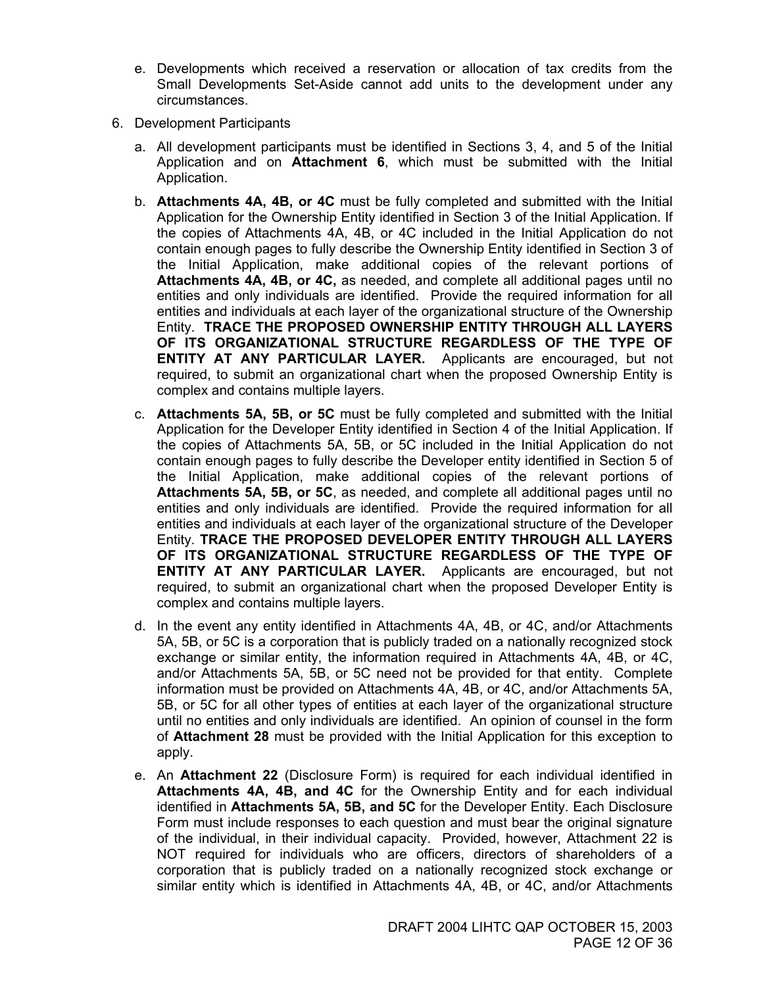- e. Developments which received a reservation or allocation of tax credits from the Small Developments Set-Aside cannot add units to the development under any circumstances.
- 6. Development Participants
	- a. All development participants must be identified in Sections 3, 4, and 5 of the Initial Application and on **Attachment 6**, which must be submitted with the Initial Application.
	- b. **Attachments 4A, 4B, or 4C** must be fully completed and submitted with the Initial Application for the Ownership Entity identified in Section 3 of the Initial Application. If the copies of Attachments 4A, 4B, or 4C included in the Initial Application do not contain enough pages to fully describe the Ownership Entity identified in Section 3 of the Initial Application, make additional copies of the relevant portions of **Attachments 4A, 4B, or 4C,** as needed, and complete all additional pages until no entities and only individuals are identified. Provide the required information for all entities and individuals at each layer of the organizational structure of the Ownership Entity. **TRACE THE PROPOSED OWNERSHIP ENTITY THROUGH ALL LAYERS OF ITS ORGANIZATIONAL STRUCTURE REGARDLESS OF THE TYPE OF ENTITY AT ANY PARTICULAR LAYER.** Applicants are encouraged, but not required, to submit an organizational chart when the proposed Ownership Entity is complex and contains multiple layers.
	- c. **Attachments 5A, 5B, or 5C** must be fully completed and submitted with the Initial Application for the Developer Entity identified in Section 4 of the Initial Application. If the copies of Attachments 5A, 5B, or 5C included in the Initial Application do not contain enough pages to fully describe the Developer entity identified in Section 5 of the Initial Application, make additional copies of the relevant portions of **Attachments 5A, 5B, or 5C**, as needed, and complete all additional pages until no entities and only individuals are identified. Provide the required information for all entities and individuals at each layer of the organizational structure of the Developer Entity. **TRACE THE PROPOSED DEVELOPER ENTITY THROUGH ALL LAYERS OF ITS ORGANIZATIONAL STRUCTURE REGARDLESS OF THE TYPE OF ENTITY AT ANY PARTICULAR LAYER.** Applicants are encouraged, but not required, to submit an organizational chart when the proposed Developer Entity is complex and contains multiple layers.
	- d. In the event any entity identified in Attachments 4A, 4B, or 4C, and/or Attachments 5A, 5B, or 5C is a corporation that is publicly traded on a nationally recognized stock exchange or similar entity, the information required in Attachments 4A, 4B, or 4C, and/or Attachments 5A, 5B, or 5C need not be provided for that entity. Complete information must be provided on Attachments 4A, 4B, or 4C, and/or Attachments 5A, 5B, or 5C for all other types of entities at each layer of the organizational structure until no entities and only individuals are identified. An opinion of counsel in the form of **Attachment 28** must be provided with the Initial Application for this exception to apply.
	- e. An **Attachment 22** (Disclosure Form) is required for each individual identified in **Attachments 4A, 4B, and 4C** for the Ownership Entity and for each individual identified in **Attachments 5A, 5B, and 5C** for the Developer Entity. Each Disclosure Form must include responses to each question and must bear the original signature of the individual, in their individual capacity. Provided, however, Attachment 22 is NOT required for individuals who are officers, directors of shareholders of a corporation that is publicly traded on a nationally recognized stock exchange or similar entity which is identified in Attachments 4A, 4B, or 4C, and/or Attachments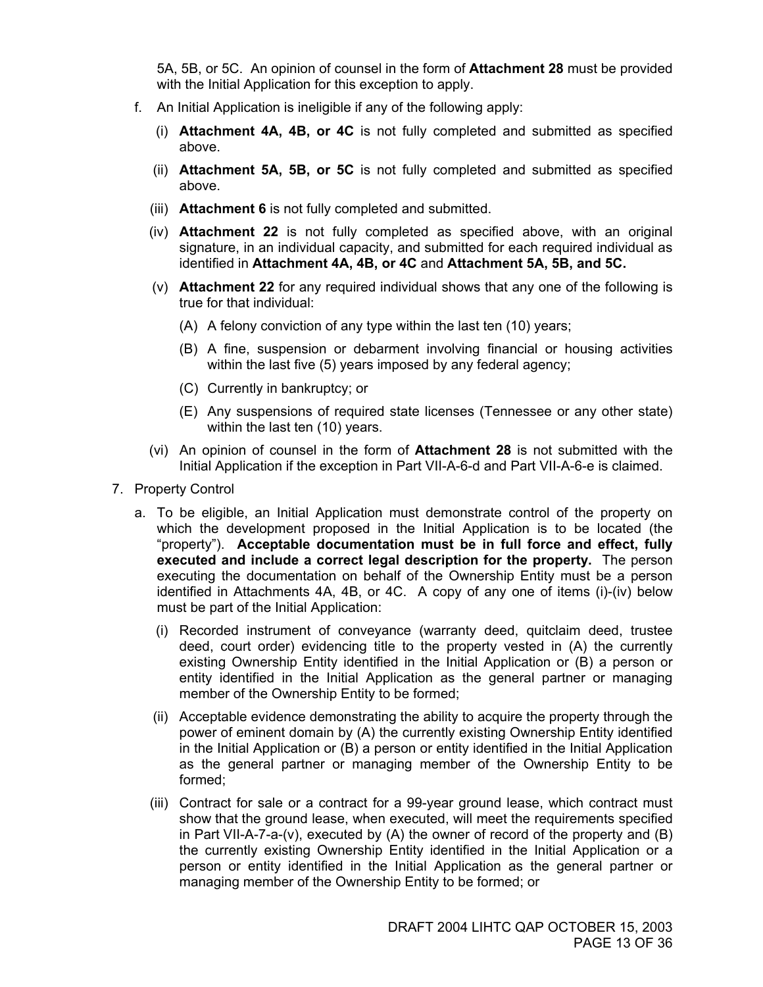5A, 5B, or 5C. An opinion of counsel in the form of **Attachment 28** must be provided with the Initial Application for this exception to apply.

- f. An Initial Application is ineligible if any of the following apply:
	- (i) **Attachment 4A, 4B, or 4C** is not fully completed and submitted as specified above.
	- (ii) **Attachment 5A, 5B, or 5C** is not fully completed and submitted as specified above.
	- (iii) **Attachment 6** is not fully completed and submitted.
	- (iv) **Attachment 22** is not fully completed as specified above, with an original signature, in an individual capacity, and submitted for each required individual as identified in **Attachment 4A, 4B, or 4C** and **Attachment 5A, 5B, and 5C.**
	- (v) **Attachment 22** for any required individual shows that any one of the following is true for that individual:
		- (A) A felony conviction of any type within the last ten (10) years;
		- (B) A fine, suspension or debarment involving financial or housing activities within the last five (5) years imposed by any federal agency;
		- (C) Currently in bankruptcy; or
		- (E) Any suspensions of required state licenses (Tennessee or any other state) within the last ten (10) years.
	- (vi) An opinion of counsel in the form of **Attachment 28** is not submitted with the Initial Application if the exception in Part VII-A-6-d and Part VII-A-6-e is claimed.
- 7. Property Control
	- a. To be eligible, an Initial Application must demonstrate control of the property on which the development proposed in the Initial Application is to be located (the "property"). **Acceptable documentation must be in full force and effect, fully executed and include a correct legal description for the property.** The person executing the documentation on behalf of the Ownership Entity must be a person identified in Attachments 4A, 4B, or 4C. A copy of any one of items (i)-(iv) below must be part of the Initial Application:
		- (i) Recorded instrument of conveyance (warranty deed, quitclaim deed, trustee deed, court order) evidencing title to the property vested in (A) the currently existing Ownership Entity identified in the Initial Application or (B) a person or entity identified in the Initial Application as the general partner or managing member of the Ownership Entity to be formed;
		- (ii) Acceptable evidence demonstrating the ability to acquire the property through the power of eminent domain by (A) the currently existing Ownership Entity identified in the Initial Application or (B) a person or entity identified in the Initial Application as the general partner or managing member of the Ownership Entity to be formed;
		- (iii) Contract for sale or a contract for a 99-year ground lease, which contract must show that the ground lease, when executed, will meet the requirements specified in Part VII-A-7-a-(v), executed by (A) the owner of record of the property and (B) the currently existing Ownership Entity identified in the Initial Application or a person or entity identified in the Initial Application as the general partner or managing member of the Ownership Entity to be formed; or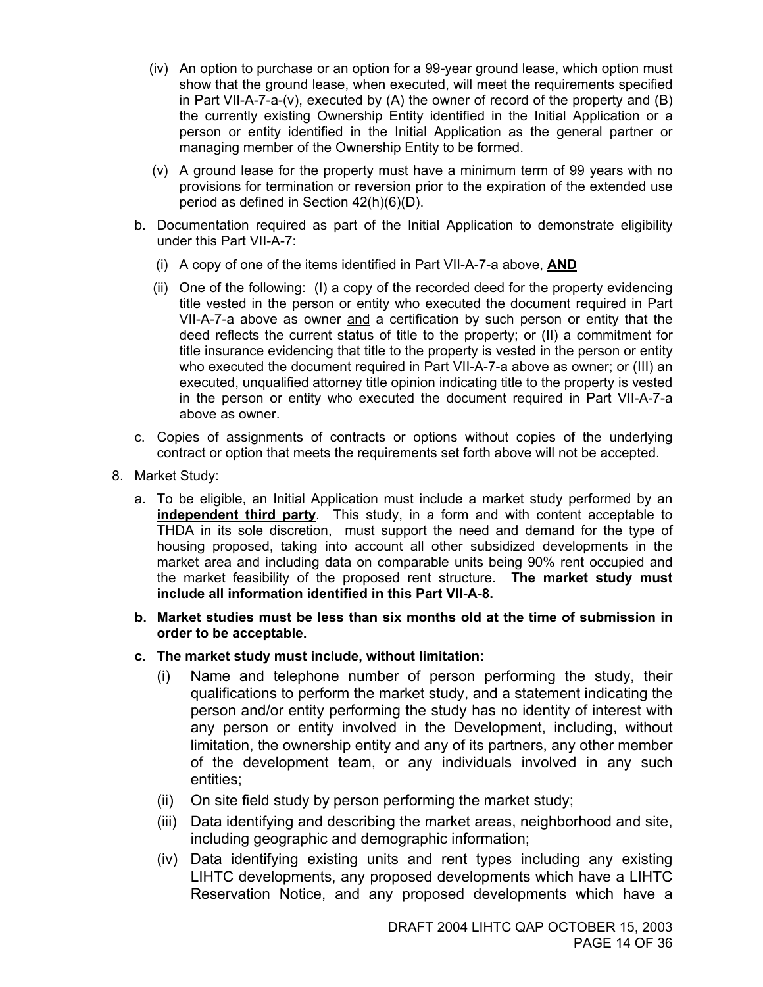- (iv) An option to purchase or an option for a 99-year ground lease, which option must show that the ground lease, when executed, will meet the requirements specified in Part VII-A-7-a-(v), executed by (A) the owner of record of the property and (B) the currently existing Ownership Entity identified in the Initial Application or a person or entity identified in the Initial Application as the general partner or managing member of the Ownership Entity to be formed.
- (v) A ground lease for the property must have a minimum term of 99 years with no provisions for termination or reversion prior to the expiration of the extended use period as defined in Section 42(h)(6)(D).
- b. Documentation required as part of the Initial Application to demonstrate eligibility under this Part VII-A-7:
	- (i) A copy of one of the items identified in Part VII-A-7-a above, **AND**
	- (ii) One of the following: (I) a copy of the recorded deed for the property evidencing title vested in the person or entity who executed the document required in Part VII-A-7-a above as owner and a certification by such person or entity that the deed reflects the current status of title to the property; or (II) a commitment for title insurance evidencing that title to the property is vested in the person or entity who executed the document required in Part VII-A-7-a above as owner; or (III) an executed, unqualified attorney title opinion indicating title to the property is vested in the person or entity who executed the document required in Part VII-A-7-a above as owner.
- c. Copies of assignments of contracts or options without copies of the underlying contract or option that meets the requirements set forth above will not be accepted.
- 8. Market Study:
	- a. To be eligible, an Initial Application must include a market study performed by an **independent third party**. This study, in a form and with content acceptable to THDA in its sole discretion, must support the need and demand for the type of housing proposed, taking into account all other subsidized developments in the market area and including data on comparable units being 90% rent occupied and the market feasibility of the proposed rent structure. **The market study must include all information identified in this Part VII-A-8.**
	- **b. Market studies must be less than six months old at the time of submission in order to be acceptable.**
	- **c. The market study must include, without limitation:** 
		- (i) Name and telephone number of person performing the study, their qualifications to perform the market study, and a statement indicating the person and/or entity performing the study has no identity of interest with any person or entity involved in the Development, including, without limitation, the ownership entity and any of its partners, any other member of the development team, or any individuals involved in any such entities;
		- (ii) On site field study by person performing the market study;
		- (iii) Data identifying and describing the market areas, neighborhood and site, including geographic and demographic information;
		- (iv) Data identifying existing units and rent types including any existing LIHTC developments, any proposed developments which have a LIHTC Reservation Notice, and any proposed developments which have a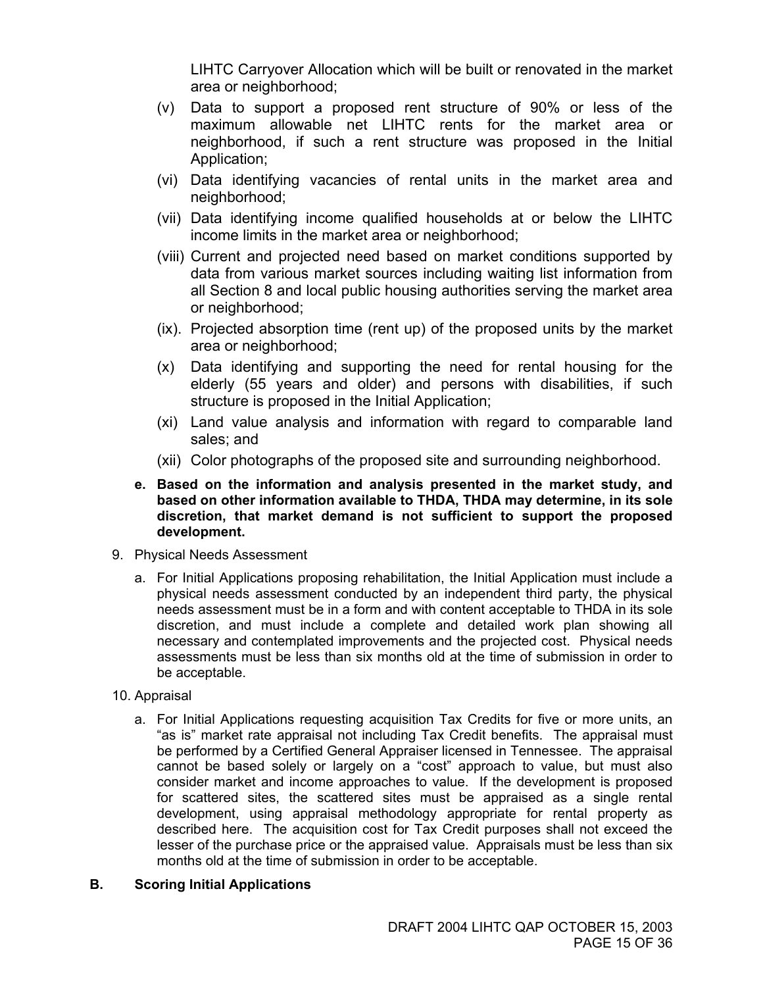LIHTC Carryover Allocation which will be built or renovated in the market area or neighborhood;

- (v) Data to support a proposed rent structure of 90% or less of the maximum allowable net LIHTC rents for the market area or neighborhood, if such a rent structure was proposed in the Initial Application;
- (vi) Data identifying vacancies of rental units in the market area and neighborhood;
- (vii) Data identifying income qualified households at or below the LIHTC income limits in the market area or neighborhood;
- (viii) Current and projected need based on market conditions supported by data from various market sources including waiting list information from all Section 8 and local public housing authorities serving the market area or neighborhood;
- (ix). Projected absorption time (rent up) of the proposed units by the market area or neighborhood;
- (x) Data identifying and supporting the need for rental housing for the elderly (55 years and older) and persons with disabilities, if such structure is proposed in the Initial Application;
- (xi) Land value analysis and information with regard to comparable land sales; and
- (xii) Color photographs of the proposed site and surrounding neighborhood.
- **e. Based on the information and analysis presented in the market study, and based on other information available to THDA, THDA may determine, in its sole discretion, that market demand is not sufficient to support the proposed development.**
- 9. Physical Needs Assessment
	- a. For Initial Applications proposing rehabilitation, the Initial Application must include a physical needs assessment conducted by an independent third party, the physical needs assessment must be in a form and with content acceptable to THDA in its sole discretion, and must include a complete and detailed work plan showing all necessary and contemplated improvements and the projected cost. Physical needs assessments must be less than six months old at the time of submission in order to be acceptable.
- 10. Appraisal
	- a. For Initial Applications requesting acquisition Tax Credits for five or more units, an "as is" market rate appraisal not including Tax Credit benefits. The appraisal must be performed by a Certified General Appraiser licensed in Tennessee. The appraisal cannot be based solely or largely on a "cost" approach to value, but must also consider market and income approaches to value. If the development is proposed for scattered sites, the scattered sites must be appraised as a single rental development, using appraisal methodology appropriate for rental property as described here. The acquisition cost for Tax Credit purposes shall not exceed the lesser of the purchase price or the appraised value. Appraisals must be less than six months old at the time of submission in order to be acceptable.

#### **B. Scoring Initial Applications**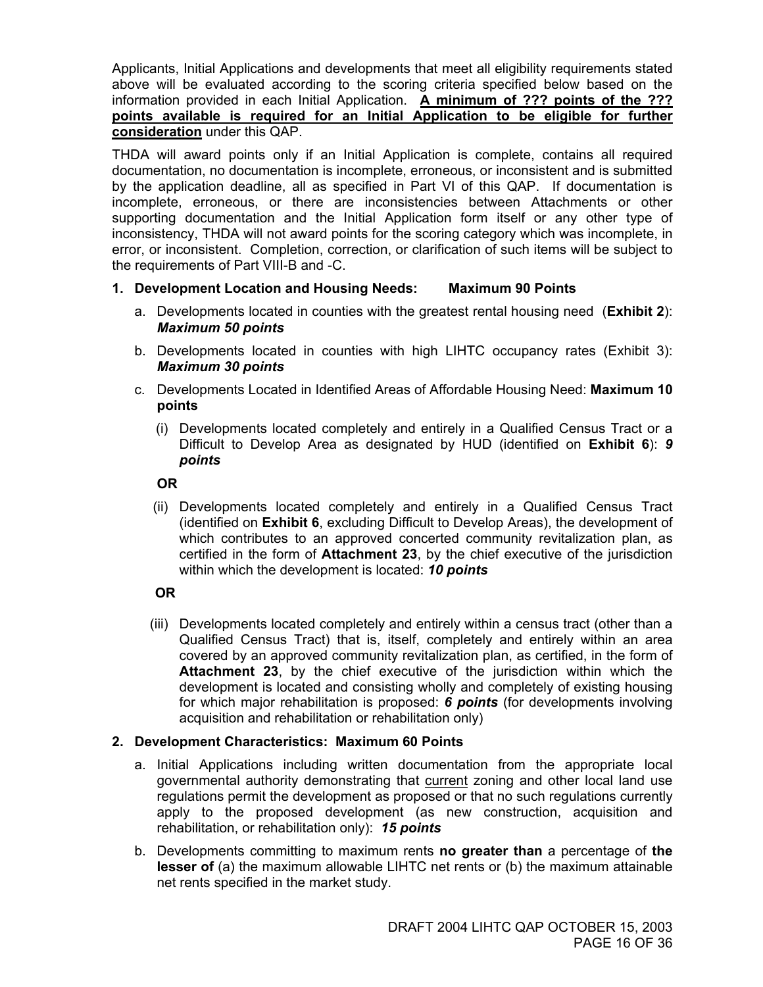Applicants, Initial Applications and developments that meet all eligibility requirements stated above will be evaluated according to the scoring criteria specified below based on the information provided in each Initial Application. **A minimum of ??? points of the ??? points available is required for an Initial Application to be eligible for further consideration** under this QAP.

THDA will award points only if an Initial Application is complete, contains all required documentation, no documentation is incomplete, erroneous, or inconsistent and is submitted by the application deadline, all as specified in Part VI of this QAP. If documentation is incomplete, erroneous, or there are inconsistencies between Attachments or other supporting documentation and the Initial Application form itself or any other type of inconsistency, THDA will not award points for the scoring category which was incomplete, in error, or inconsistent. Completion, correction, or clarification of such items will be subject to the requirements of Part VIII-B and -C.

#### **1. Development Location and Housing Needs: Maximum 90 Points**

- a. Developments located in counties with the greatest rental housing need (**Exhibit 2**): *Maximum 50 points*
- b. Developments located in counties with high LIHTC occupancy rates (Exhibit 3): *Maximum 30 points*
- c. Developments Located in Identified Areas of Affordable Housing Need: **Maximum 10 points** 
	- (i) Developments located completely and entirely in a Qualified Census Tract or a Difficult to Develop Area as designated by HUD (identified on **Exhibit 6**): *9 points*

#### **OR**

 (ii) Developments located completely and entirely in a Qualified Census Tract (identified on **Exhibit 6**, excluding Difficult to Develop Areas), the development of which contributes to an approved concerted community revitalization plan, as certified in the form of **Attachment 23**, by the chief executive of the jurisdiction within which the development is located: *10 points*

#### **OR**

 (iii) Developments located completely and entirely within a census tract (other than a Qualified Census Tract) that is, itself, completely and entirely within an area covered by an approved community revitalization plan, as certified, in the form of **Attachment 23**, by the chief executive of the jurisdiction within which the development is located and consisting wholly and completely of existing housing for which major rehabilitation is proposed: *6 points* (for developments involving acquisition and rehabilitation or rehabilitation only)

#### **2. Development Characteristics: Maximum 60 Points**

- a. Initial Applications including written documentation from the appropriate local governmental authority demonstrating that current zoning and other local land use regulations permit the development as proposed or that no such regulations currently apply to the proposed development (as new construction, acquisition and rehabilitation, or rehabilitation only): *15 points*
- b. Developments committing to maximum rents **no greater than** a percentage of **the lesser of** (a) the maximum allowable LIHTC net rents or (b) the maximum attainable net rents specified in the market study.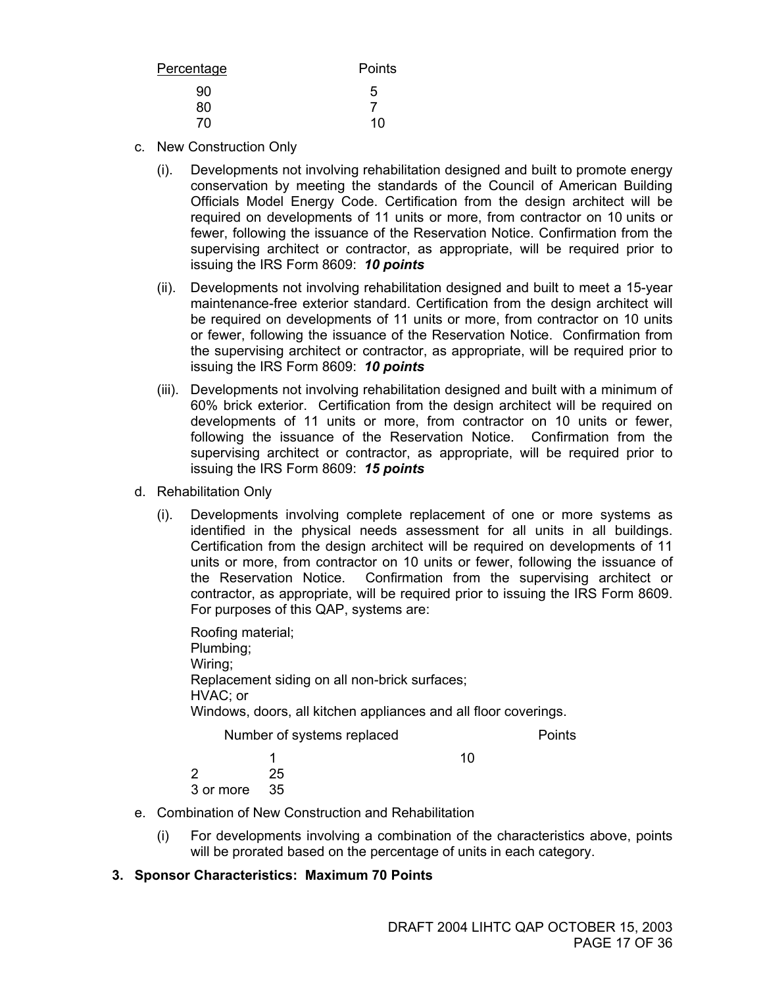| Percentage | Points |
|------------|--------|
| 90         | 5      |
| 80         |        |
| 70         | 10     |

- c. New Construction Only
	- (i). Developments not involving rehabilitation designed and built to promote energy conservation by meeting the standards of the Council of American Building Officials Model Energy Code. Certification from the design architect will be required on developments of 11 units or more, from contractor on 10 units or fewer, following the issuance of the Reservation Notice. Confirmation from the supervising architect or contractor, as appropriate, will be required prior to issuing the IRS Form 8609: *10 points*
	- (ii). Developments not involving rehabilitation designed and built to meet a 15-year maintenance-free exterior standard. Certification from the design architect will be required on developments of 11 units or more, from contractor on 10 units or fewer, following the issuance of the Reservation Notice. Confirmation from the supervising architect or contractor, as appropriate, will be required prior to issuing the IRS Form 8609: *10 points*
	- (iii). Developments not involving rehabilitation designed and built with a minimum of 60% brick exterior. Certification from the design architect will be required on developments of 11 units or more, from contractor on 10 units or fewer, following the issuance of the Reservation Notice. Confirmation from the supervising architect or contractor, as appropriate, will be required prior to issuing the IRS Form 8609: *15 points*
- d. Rehabilitation Only
	- (i). Developments involving complete replacement of one or more systems as identified in the physical needs assessment for all units in all buildings. Certification from the design architect will be required on developments of 11 units or more, from contractor on 10 units or fewer, following the issuance of the Reservation Notice. Confirmation from the supervising architect or contractor, as appropriate, will be required prior to issuing the IRS Form 8609. For purposes of this QAP, systems are:

 Roofing material; Plumbing; Wiring; Replacement siding on all non-brick surfaces; HVAC; or Windows, doors, all kitchen appliances and all floor coverings. Number of systems replaced Points **1** 10 2 25

3 or more 35

- e. Combination of New Construction and Rehabilitation
	- (i) For developments involving a combination of the characteristics above, points will be prorated based on the percentage of units in each category.

#### **3. Sponsor Characteristics: Maximum 70 Points**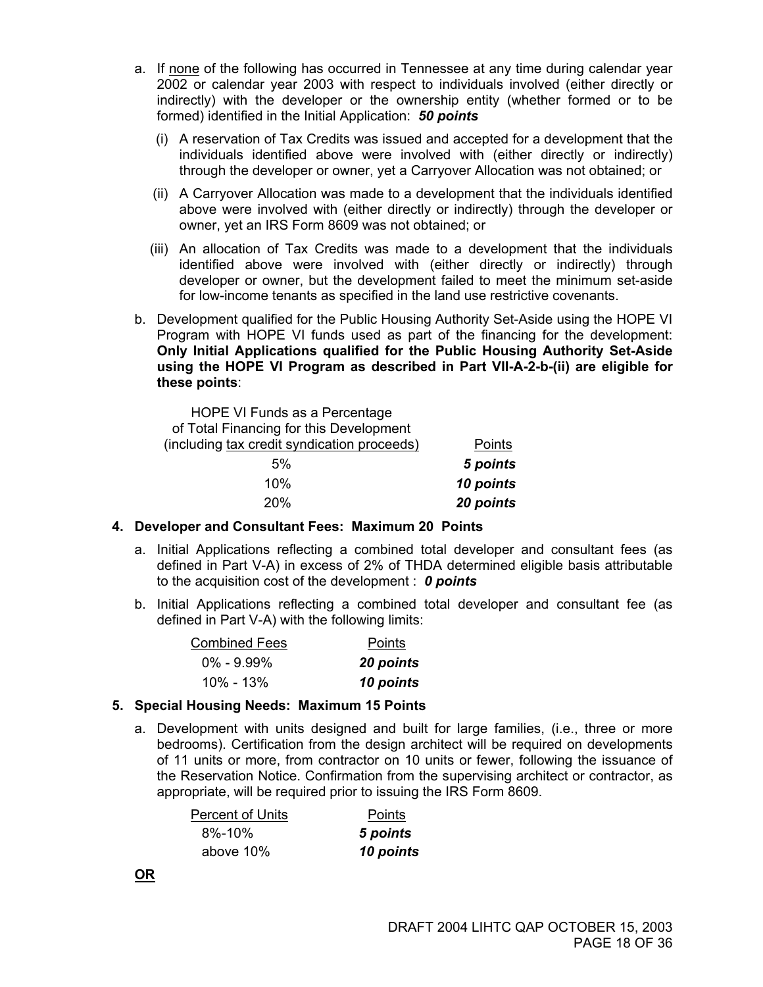- a. If none of the following has occurred in Tennessee at any time during calendar year 2002 or calendar year 2003 with respect to individuals involved (either directly or indirectly) with the developer or the ownership entity (whether formed or to be formed) identified in the Initial Application: *50 points*
	- (i) A reservation of Tax Credits was issued and accepted for a development that the individuals identified above were involved with (either directly or indirectly) through the developer or owner, yet a Carryover Allocation was not obtained; or
	- (ii) A Carryover Allocation was made to a development that the individuals identified above were involved with (either directly or indirectly) through the developer or owner, yet an IRS Form 8609 was not obtained; or
	- (iii) An allocation of Tax Credits was made to a development that the individuals identified above were involved with (either directly or indirectly) through developer or owner, but the development failed to meet the minimum set-aside for low-income tenants as specified in the land use restrictive covenants.
- b. Development qualified for the Public Housing Authority Set-Aside using the HOPE VI Program with HOPE VI funds used as part of the financing for the development: **Only Initial Applications qualified for the Public Housing Authority Set-Aside using the HOPE VI Program as described in Part VII-A-2-b-(ii) are eligible for these points**:

 HOPE VI Funds as a Percentage of Total Financing for this Development (including tax credit syndication proceeds) Points 5% *5 points* 10% *10 points* 20% *20 points*

#### **4. Developer and Consultant Fees: Maximum 20 Points**

- a. Initial Applications reflecting a combined total developer and consultant fees (as defined in Part V-A) in excess of 2% of THDA determined eligible basis attributable to the acquisition cost of the development : *0 points*
- b. Initial Applications reflecting a combined total developer and consultant fee (as defined in Part V-A) with the following limits:

| <b>Combined Fees</b> | Points    |  |
|----------------------|-----------|--|
| $0\% - 9.99\%$       | 20 points |  |
| 10% - 13%            | 10 points |  |

#### **5. Special Housing Needs: Maximum 15 Points**

a. Development with units designed and built for large families, (i.e., three or more bedrooms). Certification from the design architect will be required on developments of 11 units or more, from contractor on 10 units or fewer, following the issuance of the Reservation Notice. Confirmation from the supervising architect or contractor, as appropriate, will be required prior to issuing the IRS Form 8609.

| <b>Percent of Units</b> | Points    |
|-------------------------|-----------|
| 8%-10%                  | 5 points  |
| above 10%               | 10 points |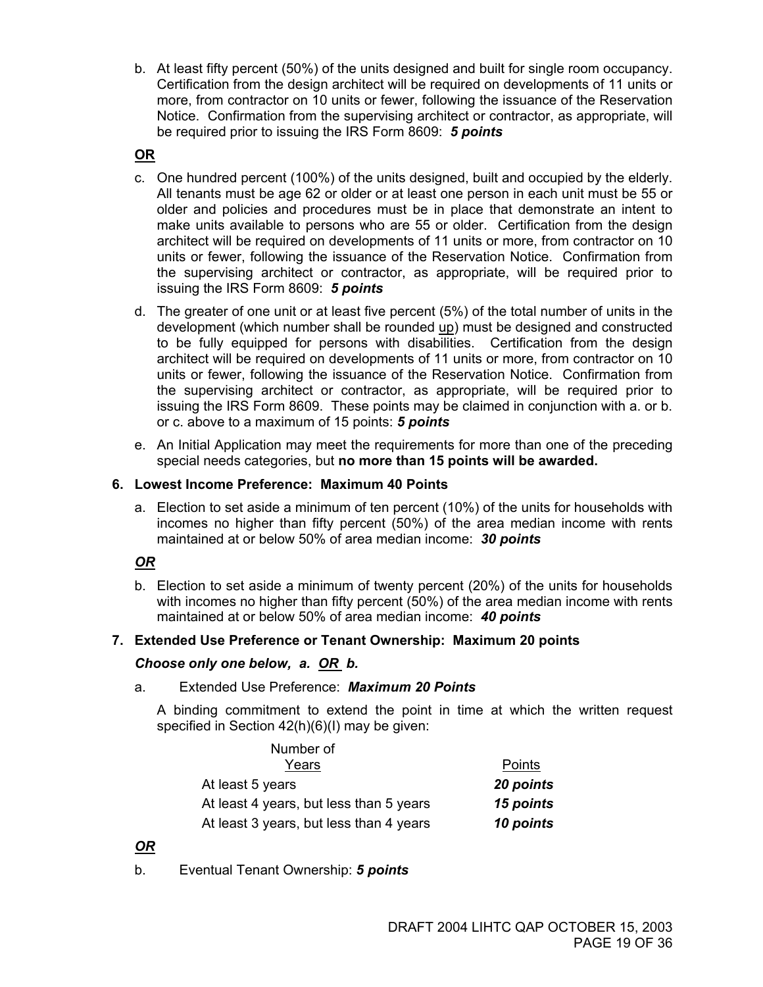b. At least fifty percent (50%) of the units designed and built for single room occupancy. Certification from the design architect will be required on developments of 11 units or more, from contractor on 10 units or fewer, following the issuance of the Reservation Notice. Confirmation from the supervising architect or contractor, as appropriate, will be required prior to issuing the IRS Form 8609: *5 points* 

#### **OR**

- c. One hundred percent (100%) of the units designed, built and occupied by the elderly. All tenants must be age 62 or older or at least one person in each unit must be 55 or older and policies and procedures must be in place that demonstrate an intent to make units available to persons who are 55 or older. Certification from the design architect will be required on developments of 11 units or more, from contractor on 10 units or fewer, following the issuance of the Reservation Notice. Confirmation from the supervising architect or contractor, as appropriate, will be required prior to issuing the IRS Form 8609: *5 points*
- d. The greater of one unit or at least five percent (5%) of the total number of units in the development (which number shall be rounded up) must be designed and constructed to be fully equipped for persons with disabilities. Certification from the design architect will be required on developments of 11 units or more, from contractor on 10 units or fewer, following the issuance of the Reservation Notice. Confirmation from the supervising architect or contractor, as appropriate, will be required prior to issuing the IRS Form 8609. These points may be claimed in conjunction with a. or b. or c. above to a maximum of 15 points: *5 points*
- e. An Initial Application may meet the requirements for more than one of the preceding special needs categories, but **no more than 15 points will be awarded.**

#### **6. Lowest Income Preference: Maximum 40 Points**

a. Election to set aside a minimum of ten percent (10%) of the units for households with incomes no higher than fifty percent (50%) of the area median income with rents maintained at or below 50% of area median income: *30 points*

#### *OR*

b. Election to set aside a minimum of twenty percent (20%) of the units for households with incomes no higher than fifty percent (50%) of the area median income with rents maintained at or below 50% of area median income: *40 points*

#### **7. Extended Use Preference or Tenant Ownership: Maximum 20 points**

#### *Choose only one below, a. OR b.*

#### a. Extended Use Preference: *Maximum 20 Points*

A binding commitment to extend the point in time at which the written request specified in Section 42(h)(6)(I) may be given:

|               | Number of                               |
|---------------|-----------------------------------------|
| <b>Points</b> | Years                                   |
| 20 points     | At least 5 years                        |
| 15 points     | At least 4 years, but less than 5 years |
| 10 points     | At least 3 years, but less than 4 years |

#### *OR*

b. Eventual Tenant Ownership: *5 points*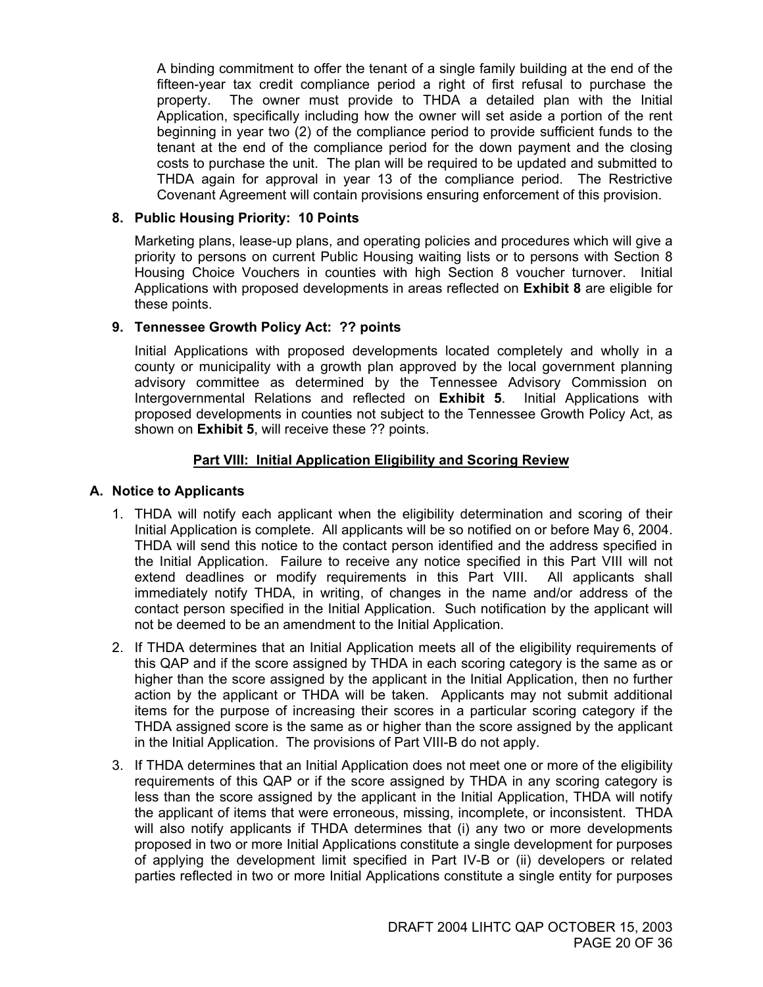A binding commitment to offer the tenant of a single family building at the end of the fifteen-year tax credit compliance period a right of first refusal to purchase the property. The owner must provide to THDA a detailed plan with the Initial Application, specifically including how the owner will set aside a portion of the rent beginning in year two (2) of the compliance period to provide sufficient funds to the tenant at the end of the compliance period for the down payment and the closing costs to purchase the unit. The plan will be required to be updated and submitted to THDA again for approval in year 13 of the compliance period. The Restrictive Covenant Agreement will contain provisions ensuring enforcement of this provision.

#### **8. Public Housing Priority: 10 Points**

Marketing plans, lease-up plans, and operating policies and procedures which will give a priority to persons on current Public Housing waiting lists or to persons with Section 8 Housing Choice Vouchers in counties with high Section 8 voucher turnover. Initial Applications with proposed developments in areas reflected on **Exhibit 8** are eligible for these points.

#### **9. Tennessee Growth Policy Act: ?? points**

Initial Applications with proposed developments located completely and wholly in a county or municipality with a growth plan approved by the local government planning advisory committee as determined by the Tennessee Advisory Commission on Intergovernmental Relations and reflected on **Exhibit 5**. Initial Applications with proposed developments in counties not subject to the Tennessee Growth Policy Act, as shown on **Exhibit 5**, will receive these ?? points.

#### **Part VIII: Initial Application Eligibility and Scoring Review**

#### **A. Notice to Applicants**

- 1. THDA will notify each applicant when the eligibility determination and scoring of their Initial Application is complete. All applicants will be so notified on or before May 6, 2004. THDA will send this notice to the contact person identified and the address specified in the Initial Application. Failure to receive any notice specified in this Part VIII will not extend deadlines or modify requirements in this Part VIII. All applicants shall immediately notify THDA, in writing, of changes in the name and/or address of the contact person specified in the Initial Application. Such notification by the applicant will not be deemed to be an amendment to the Initial Application.
- 2. If THDA determines that an Initial Application meets all of the eligibility requirements of this QAP and if the score assigned by THDA in each scoring category is the same as or higher than the score assigned by the applicant in the Initial Application, then no further action by the applicant or THDA will be taken. Applicants may not submit additional items for the purpose of increasing their scores in a particular scoring category if the THDA assigned score is the same as or higher than the score assigned by the applicant in the Initial Application. The provisions of Part VIII-B do not apply.
- 3. If THDA determines that an Initial Application does not meet one or more of the eligibility requirements of this QAP or if the score assigned by THDA in any scoring category is less than the score assigned by the applicant in the Initial Application, THDA will notify the applicant of items that were erroneous, missing, incomplete, or inconsistent. THDA will also notify applicants if THDA determines that (i) any two or more developments proposed in two or more Initial Applications constitute a single development for purposes of applying the development limit specified in Part IV-B or (ii) developers or related parties reflected in two or more Initial Applications constitute a single entity for purposes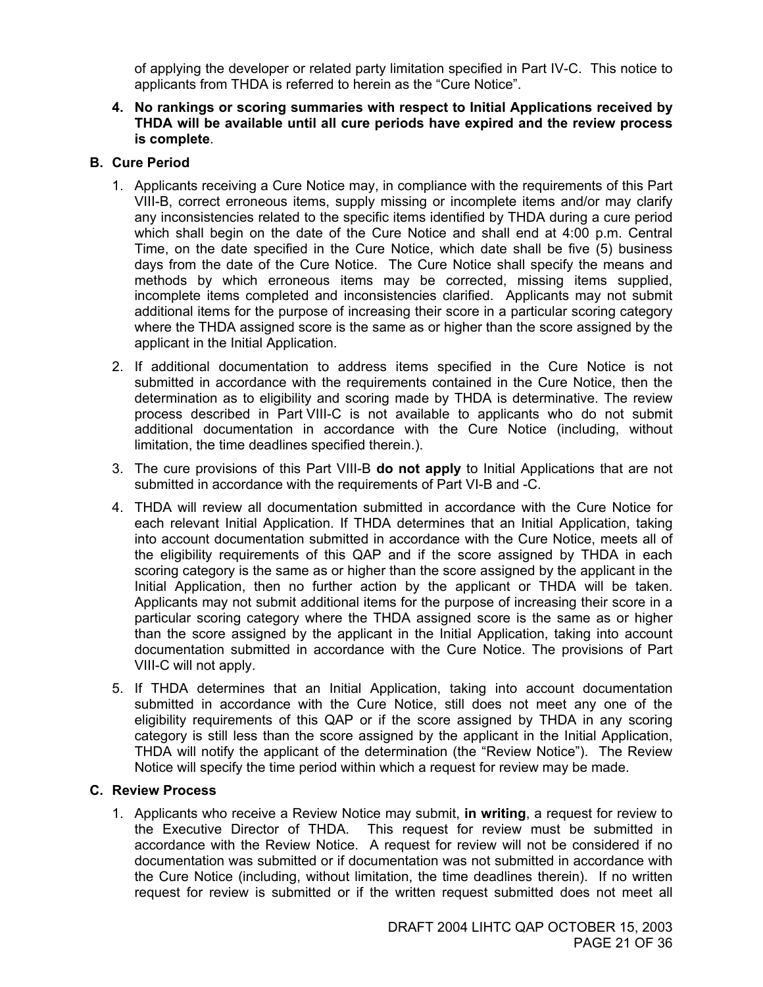of applying the developer or related party limitation specified in Part IV-C. This notice to applicants from THDA is referred to herein as the "Cure Notice".

#### **4. No rankings or scoring summaries with respect to Initial Applications received by THDA will be available until all cure periods have expired and the review process is complete**.

#### **B. Cure Period**

- 1. Applicants receiving a Cure Notice may, in compliance with the requirements of this Part VIII-B, correct erroneous items, supply missing or incomplete items and/or may clarify any inconsistencies related to the specific items identified by THDA during a cure period which shall begin on the date of the Cure Notice and shall end at 4:00 p.m. Central Time, on the date specified in the Cure Notice, which date shall be five (5) business days from the date of the Cure Notice. The Cure Notice shall specify the means and methods by which erroneous items may be corrected, missing items supplied, incomplete items completed and inconsistencies clarified. Applicants may not submit additional items for the purpose of increasing their score in a particular scoring category where the THDA assigned score is the same as or higher than the score assigned by the applicant in the Initial Application.
- 2. If additional documentation to address items specified in the Cure Notice is not submitted in accordance with the requirements contained in the Cure Notice, then the determination as to eligibility and scoring made by THDA is determinative. The review process described in Part VIII-C is not available to applicants who do not submit additional documentation in accordance with the Cure Notice (including, without limitation, the time deadlines specified therein.).
- 3. The cure provisions of this Part VIII-B **do not apply** to Initial Applications that are not submitted in accordance with the requirements of Part VI-B and -C.
- 4. THDA will review all documentation submitted in accordance with the Cure Notice for each relevant Initial Application. If THDA determines that an Initial Application, taking into account documentation submitted in accordance with the Cure Notice, meets all of the eligibility requirements of this QAP and if the score assigned by THDA in each scoring category is the same as or higher than the score assigned by the applicant in the Initial Application, then no further action by the applicant or THDA will be taken. Applicants may not submit additional items for the purpose of increasing their score in a particular scoring category where the THDA assigned score is the same as or higher than the score assigned by the applicant in the Initial Application, taking into account documentation submitted in accordance with the Cure Notice. The provisions of Part VIII-C will not apply.
- 5. If THDA determines that an Initial Application, taking into account documentation submitted in accordance with the Cure Notice, still does not meet any one of the eligibility requirements of this QAP or if the score assigned by THDA in any scoring category is still less than the score assigned by the applicant in the Initial Application, THDA will notify the applicant of the determination (the "Review Notice"). The Review Notice will specify the time period within which a request for review may be made.

#### **C. Review Process**

1. Applicants who receive a Review Notice may submit, **in writing**, a request for review to the Executive Director of THDA. This request for review must be submitted in accordance with the Review Notice. A request for review will not be considered if no documentation was submitted or if documentation was not submitted in accordance with the Cure Notice (including, without limitation, the time deadlines therein). If no written request for review is submitted or if the written request submitted does not meet all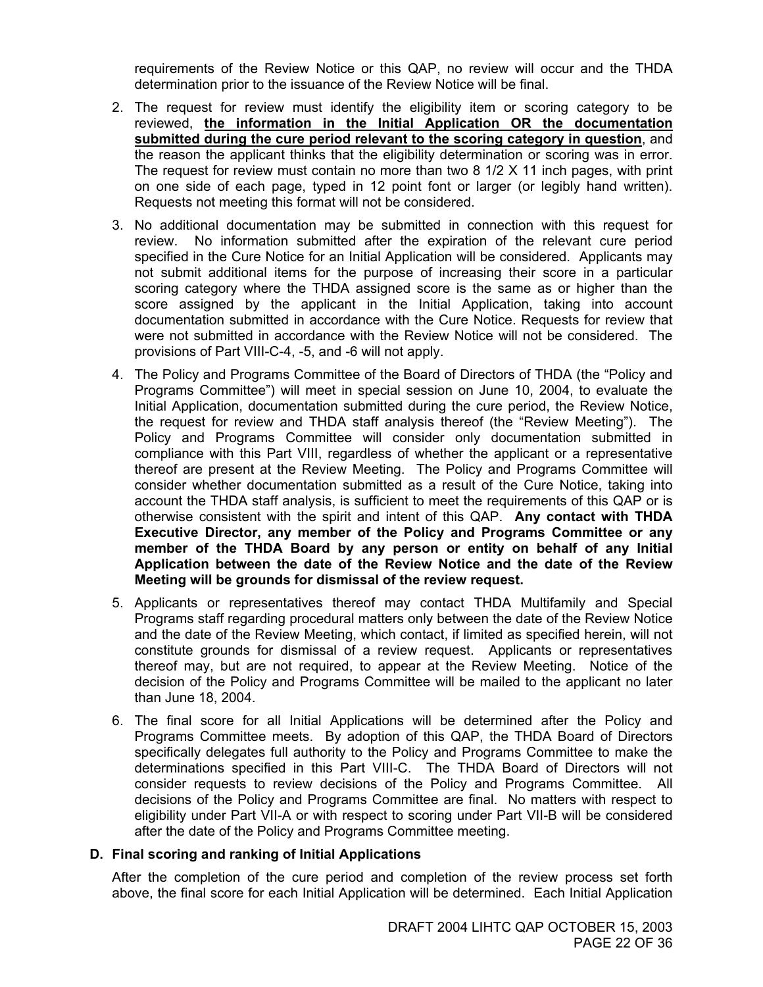requirements of the Review Notice or this QAP, no review will occur and the THDA determination prior to the issuance of the Review Notice will be final.

- 2. The request for review must identify the eligibility item or scoring category to be reviewed, **the information in the Initial Application OR the documentation submitted during the cure period relevant to the scoring category in question**, and the reason the applicant thinks that the eligibility determination or scoring was in error. The request for review must contain no more than two 8 1/2 X 11 inch pages, with print on one side of each page, typed in 12 point font or larger (or legibly hand written). Requests not meeting this format will not be considered.
- 3. No additional documentation may be submitted in connection with this request for review. No information submitted after the expiration of the relevant cure period specified in the Cure Notice for an Initial Application will be considered. Applicants may not submit additional items for the purpose of increasing their score in a particular scoring category where the THDA assigned score is the same as or higher than the score assigned by the applicant in the Initial Application, taking into account documentation submitted in accordance with the Cure Notice. Requests for review that were not submitted in accordance with the Review Notice will not be considered. The provisions of Part VIII-C-4, -5, and -6 will not apply.
- 4. The Policy and Programs Committee of the Board of Directors of THDA (the "Policy and Programs Committee") will meet in special session on June 10, 2004, to evaluate the Initial Application, documentation submitted during the cure period, the Review Notice, the request for review and THDA staff analysis thereof (the "Review Meeting"). The Policy and Programs Committee will consider only documentation submitted in compliance with this Part VIII, regardless of whether the applicant or a representative thereof are present at the Review Meeting. The Policy and Programs Committee will consider whether documentation submitted as a result of the Cure Notice, taking into account the THDA staff analysis, is sufficient to meet the requirements of this QAP or is otherwise consistent with the spirit and intent of this QAP. **Any contact with THDA Executive Director, any member of the Policy and Programs Committee or any member of the THDA Board by any person or entity on behalf of any Initial Application between the date of the Review Notice and the date of the Review Meeting will be grounds for dismissal of the review request.**
- 5. Applicants or representatives thereof may contact THDA Multifamily and Special Programs staff regarding procedural matters only between the date of the Review Notice and the date of the Review Meeting, which contact, if limited as specified herein, will not constitute grounds for dismissal of a review request. Applicants or representatives thereof may, but are not required, to appear at the Review Meeting. Notice of the decision of the Policy and Programs Committee will be mailed to the applicant no later than June 18, 2004.
- 6. The final score for all Initial Applications will be determined after the Policy and Programs Committee meets. By adoption of this QAP, the THDA Board of Directors specifically delegates full authority to the Policy and Programs Committee to make the determinations specified in this Part VIII-C. The THDA Board of Directors will not consider requests to review decisions of the Policy and Programs Committee. All decisions of the Policy and Programs Committee are final. No matters with respect to eligibility under Part VII-A or with respect to scoring under Part VII-B will be considered after the date of the Policy and Programs Committee meeting.

#### **D. Final scoring and ranking of Initial Applications**

After the completion of the cure period and completion of the review process set forth above, the final score for each Initial Application will be determined. Each Initial Application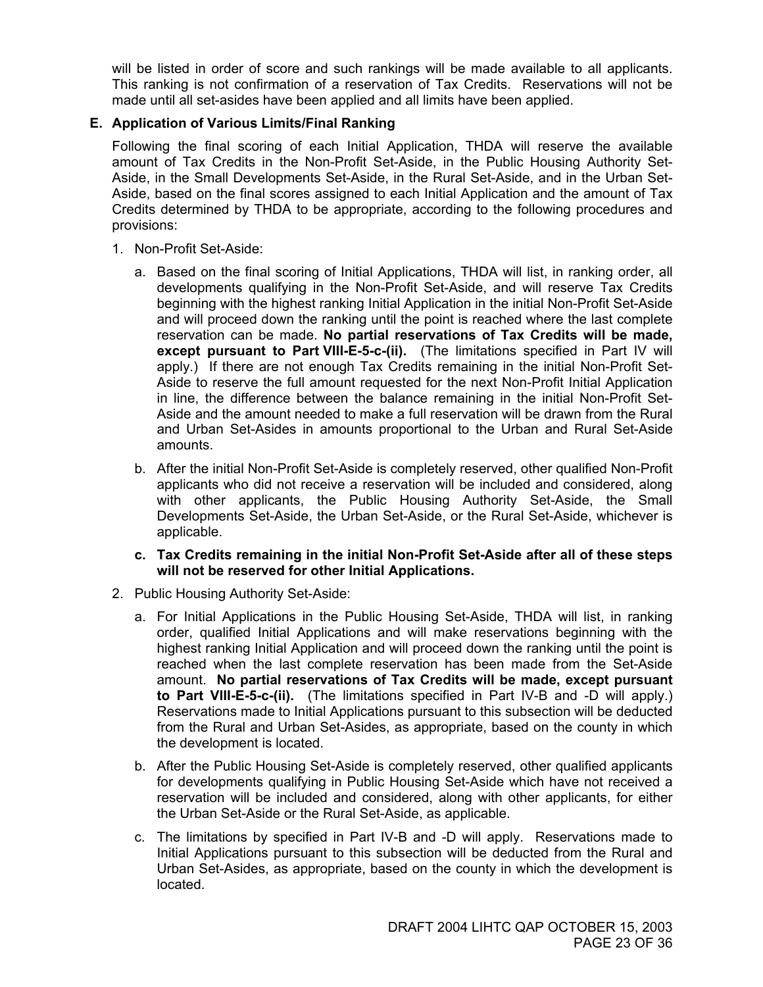will be listed in order of score and such rankings will be made available to all applicants. This ranking is not confirmation of a reservation of Tax Credits. Reservations will not be made until all set-asides have been applied and all limits have been applied.

#### **E. Application of Various Limits/Final Ranking**

Following the final scoring of each Initial Application, THDA will reserve the available amount of Tax Credits in the Non-Profit Set-Aside, in the Public Housing Authority Set-Aside, in the Small Developments Set-Aside, in the Rural Set-Aside, and in the Urban Set-Aside, based on the final scores assigned to each Initial Application and the amount of Tax Credits determined by THDA to be appropriate, according to the following procedures and provisions:

- 1. Non-Profit Set-Aside:
	- a. Based on the final scoring of Initial Applications, THDA will list, in ranking order, all developments qualifying in the Non-Profit Set-Aside, and will reserve Tax Credits beginning with the highest ranking Initial Application in the initial Non-Profit Set-Aside and will proceed down the ranking until the point is reached where the last complete reservation can be made. **No partial reservations of Tax Credits will be made, except pursuant to Part VIII-E-5-c-(ii).** (The limitations specified in Part IV will apply.) If there are not enough Tax Credits remaining in the initial Non-Profit Set-Aside to reserve the full amount requested for the next Non-Profit Initial Application in line, the difference between the balance remaining in the initial Non-Profit Set-Aside and the amount needed to make a full reservation will be drawn from the Rural and Urban Set-Asides in amounts proportional to the Urban and Rural Set-Aside amounts.
	- b. After the initial Non-Profit Set-Aside is completely reserved, other qualified Non-Profit applicants who did not receive a reservation will be included and considered, along with other applicants, the Public Housing Authority Set-Aside, the Small Developments Set-Aside, the Urban Set-Aside, or the Rural Set-Aside, whichever is applicable.
	- **c. Tax Credits remaining in the initial Non-Profit Set-Aside after all of these steps will not be reserved for other Initial Applications.**
- 2. Public Housing Authority Set-Aside:
	- a. For Initial Applications in the Public Housing Set-Aside, THDA will list, in ranking order, qualified Initial Applications and will make reservations beginning with the highest ranking Initial Application and will proceed down the ranking until the point is reached when the last complete reservation has been made from the Set-Aside amount. **No partial reservations of Tax Credits will be made, except pursuant to Part VIII-E-5-c-(ii).** (The limitations specified in Part IV-B and -D will apply.) Reservations made to Initial Applications pursuant to this subsection will be deducted from the Rural and Urban Set-Asides, as appropriate, based on the county in which the development is located.
	- b. After the Public Housing Set-Aside is completely reserved, other qualified applicants for developments qualifying in Public Housing Set-Aside which have not received a reservation will be included and considered, along with other applicants, for either the Urban Set-Aside or the Rural Set-Aside, as applicable.
	- c. The limitations by specified in Part IV-B and -D will apply. Reservations made to Initial Applications pursuant to this subsection will be deducted from the Rural and Urban Set-Asides, as appropriate, based on the county in which the development is located.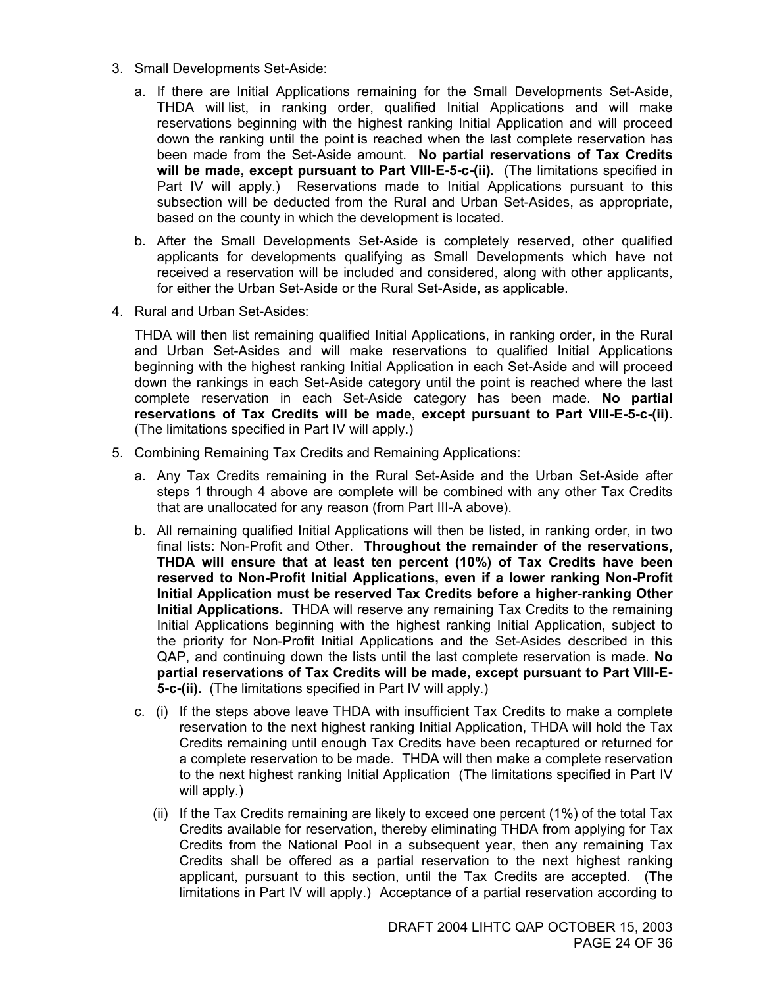- 3. Small Developments Set-Aside:
	- a. If there are Initial Applications remaining for the Small Developments Set-Aside, THDA will list, in ranking order, qualified Initial Applications and will make reservations beginning with the highest ranking Initial Application and will proceed down the ranking until the point is reached when the last complete reservation has been made from the Set-Aside amount. **No partial reservations of Tax Credits will be made, except pursuant to Part VIII-E-5-c-(ii).** (The limitations specified in Part IV will apply.) Reservations made to Initial Applications pursuant to this subsection will be deducted from the Rural and Urban Set-Asides, as appropriate, based on the county in which the development is located.
	- b. After the Small Developments Set-Aside is completely reserved, other qualified applicants for developments qualifying as Small Developments which have not received a reservation will be included and considered, along with other applicants, for either the Urban Set-Aside or the Rural Set-Aside, as applicable.
- 4. Rural and Urban Set-Asides:

THDA will then list remaining qualified Initial Applications, in ranking order, in the Rural and Urban Set-Asides and will make reservations to qualified Initial Applications beginning with the highest ranking Initial Application in each Set-Aside and will proceed down the rankings in each Set-Aside category until the point is reached where the last complete reservation in each Set-Aside category has been made. **No partial reservations of Tax Credits will be made, except pursuant to Part VIII-E-5-c-(ii).** (The limitations specified in Part IV will apply.)

- 5. Combining Remaining Tax Credits and Remaining Applications:
	- a. Any Tax Credits remaining in the Rural Set-Aside and the Urban Set-Aside after steps 1 through 4 above are complete will be combined with any other Tax Credits that are unallocated for any reason (from Part III-A above).
	- b. All remaining qualified Initial Applications will then be listed, in ranking order, in two final lists: Non-Profit and Other. **Throughout the remainder of the reservations, THDA will ensure that at least ten percent (10%) of Tax Credits have been reserved to Non-Profit Initial Applications, even if a lower ranking Non-Profit Initial Application must be reserved Tax Credits before a higher-ranking Other Initial Applications.** THDA will reserve any remaining Tax Credits to the remaining Initial Applications beginning with the highest ranking Initial Application, subject to the priority for Non-Profit Initial Applications and the Set-Asides described in this QAP, and continuing down the lists until the last complete reservation is made. **No partial reservations of Tax Credits will be made, except pursuant to Part VIII-E-5-c-(ii).** (The limitations specified in Part IV will apply.)
	- c. (i) If the steps above leave THDA with insufficient Tax Credits to make a complete reservation to the next highest ranking Initial Application, THDA will hold the Tax Credits remaining until enough Tax Credits have been recaptured or returned for a complete reservation to be made. THDA will then make a complete reservation to the next highest ranking Initial Application (The limitations specified in Part IV will apply.)
		- (ii) If the Tax Credits remaining are likely to exceed one percent (1%) of the total Tax Credits available for reservation, thereby eliminating THDA from applying for Tax Credits from the National Pool in a subsequent year, then any remaining Tax Credits shall be offered as a partial reservation to the next highest ranking applicant, pursuant to this section, until the Tax Credits are accepted. (The limitations in Part IV will apply.) Acceptance of a partial reservation according to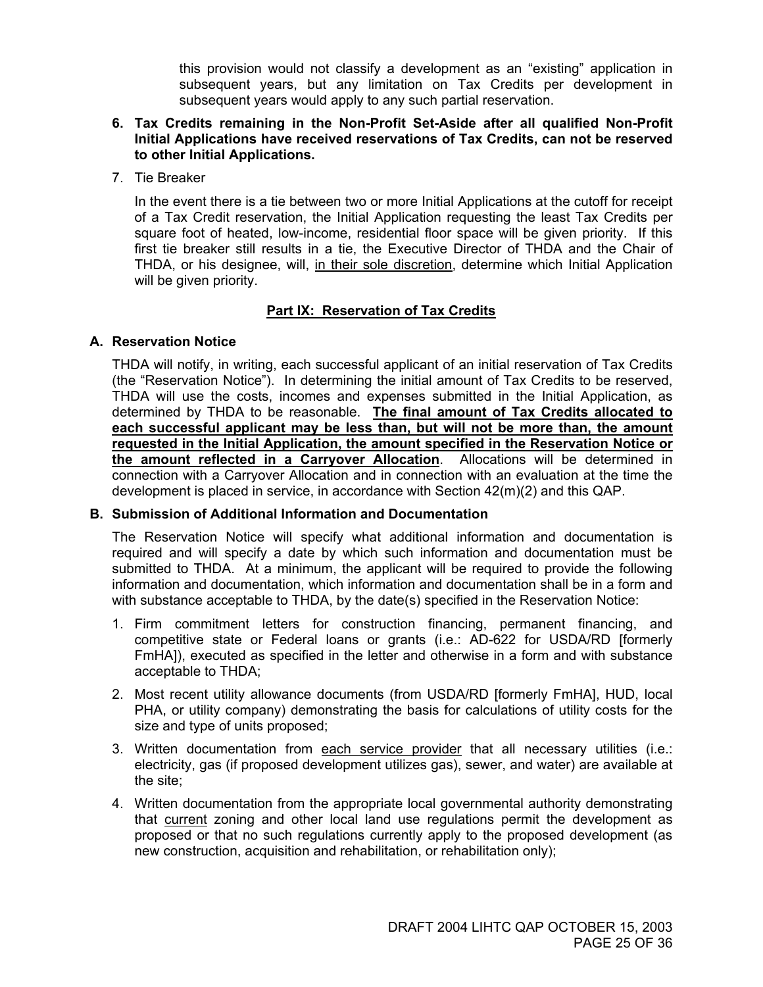this provision would not classify a development as an "existing" application in subsequent years, but any limitation on Tax Credits per development in subsequent years would apply to any such partial reservation.

- **6. Tax Credits remaining in the Non-Profit Set-Aside after all qualified Non-Profit Initial Applications have received reservations of Tax Credits, can not be reserved to other Initial Applications.**
- 7. Tie Breaker

In the event there is a tie between two or more Initial Applications at the cutoff for receipt of a Tax Credit reservation, the Initial Application requesting the least Tax Credits per square foot of heated, low-income, residential floor space will be given priority. If this first tie breaker still results in a tie, the Executive Director of THDA and the Chair of THDA, or his designee, will, in their sole discretion, determine which Initial Application will be given priority.

#### **Part IX: Reservation of Tax Credits**

#### **A. Reservation Notice**

THDA will notify, in writing, each successful applicant of an initial reservation of Tax Credits (the "Reservation Notice"). In determining the initial amount of Tax Credits to be reserved, THDA will use the costs, incomes and expenses submitted in the Initial Application, as determined by THDA to be reasonable. **The final amount of Tax Credits allocated to each successful applicant may be less than, but will not be more than, the amount requested in the Initial Application, the amount specified in the Reservation Notice or the amount reflected in a Carryover Allocation**. Allocations will be determined in connection with a Carryover Allocation and in connection with an evaluation at the time the development is placed in service, in accordance with Section 42(m)(2) and this QAP.

#### **B. Submission of Additional Information and Documentation**

The Reservation Notice will specify what additional information and documentation is required and will specify a date by which such information and documentation must be submitted to THDA. At a minimum, the applicant will be required to provide the following information and documentation, which information and documentation shall be in a form and with substance acceptable to THDA, by the date(s) specified in the Reservation Notice:

- 1. Firm commitment letters for construction financing, permanent financing, and competitive state or Federal loans or grants (i.e.: AD-622 for USDA/RD [formerly FmHA]), executed as specified in the letter and otherwise in a form and with substance acceptable to THDA;
- 2. Most recent utility allowance documents (from USDA/RD [formerly FmHA], HUD, local PHA, or utility company) demonstrating the basis for calculations of utility costs for the size and type of units proposed;
- 3. Written documentation from each service provider that all necessary utilities (i.e.: electricity, gas (if proposed development utilizes gas), sewer, and water) are available at the site;
- 4. Written documentation from the appropriate local governmental authority demonstrating that current zoning and other local land use regulations permit the development as proposed or that no such regulations currently apply to the proposed development (as new construction, acquisition and rehabilitation, or rehabilitation only);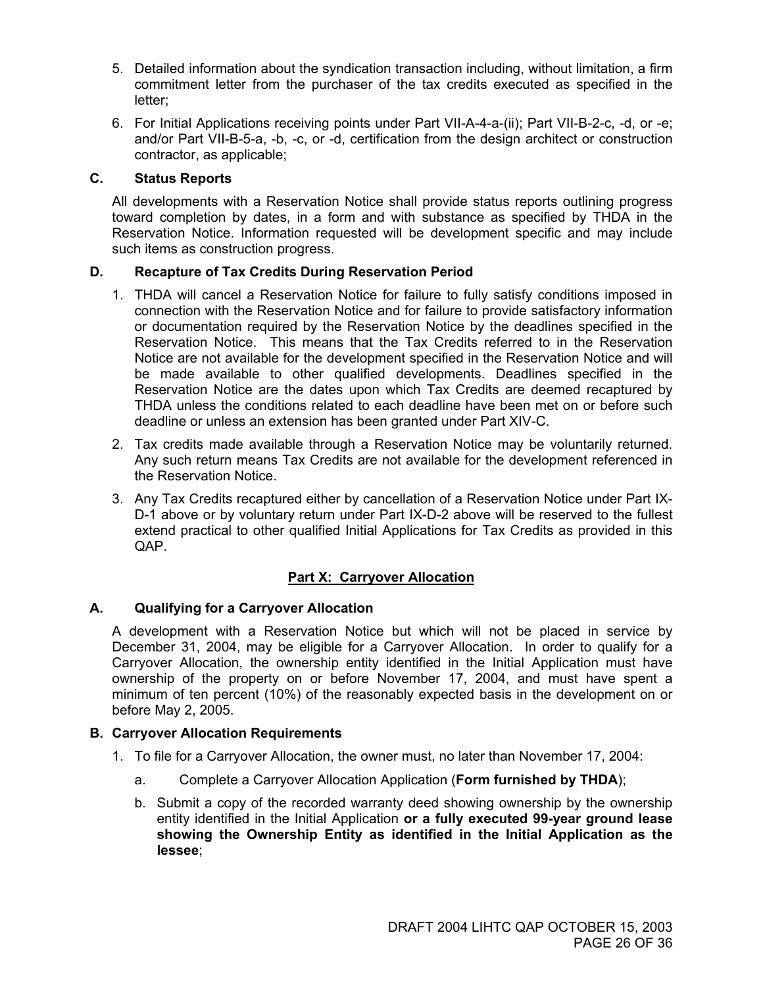- 5. Detailed information about the syndication transaction including, without limitation, a firm commitment letter from the purchaser of the tax credits executed as specified in the letter;
- 6. For Initial Applications receiving points under Part VII-A-4-a-(ii); Part VII-B-2-c, -d, or -e; and/or Part VII-B-5-a, -b, -c, or -d, certification from the design architect or construction contractor, as applicable;

#### **C. Status Reports**

All developments with a Reservation Notice shall provide status reports outlining progress toward completion by dates, in a form and with substance as specified by THDA in the Reservation Notice. Information requested will be development specific and may include such items as construction progress.

#### **D. Recapture of Tax Credits During Reservation Period**

- 1. THDA will cancel a Reservation Notice for failure to fully satisfy conditions imposed in connection with the Reservation Notice and for failure to provide satisfactory information or documentation required by the Reservation Notice by the deadlines specified in the Reservation Notice. This means that the Tax Credits referred to in the Reservation Notice are not available for the development specified in the Reservation Notice and will be made available to other qualified developments. Deadlines specified in the Reservation Notice are the dates upon which Tax Credits are deemed recaptured by THDA unless the conditions related to each deadline have been met on or before such deadline or unless an extension has been granted under Part XIV-C.
- 2. Tax credits made available through a Reservation Notice may be voluntarily returned. Any such return means Tax Credits are not available for the development referenced in the Reservation Notice.
- 3. Any Tax Credits recaptured either by cancellation of a Reservation Notice under Part IX-D-1 above or by voluntary return under Part IX-D-2 above will be reserved to the fullest extend practical to other qualified Initial Applications for Tax Credits as provided in this QAP.

#### **Part X: Carryover Allocation**

#### **A. Qualifying for a Carryover Allocation**

A development with a Reservation Notice but which will not be placed in service by December 31, 2004, may be eligible for a Carryover Allocation. In order to qualify for a Carryover Allocation, the ownership entity identified in the Initial Application must have ownership of the property on or before November 17, 2004, and must have spent a minimum of ten percent (10%) of the reasonably expected basis in the development on or before May 2, 2005.

#### **B. Carryover Allocation Requirements**

- 1. To file for a Carryover Allocation, the owner must, no later than November 17, 2004:
	- a. Complete a Carryover Allocation Application (**Form furnished by THDA**);
	- b. Submit a copy of the recorded warranty deed showing ownership by the ownership entity identified in the Initial Application **or a fully executed 99-year ground lease showing the Ownership Entity as identified in the Initial Application as the lessee**;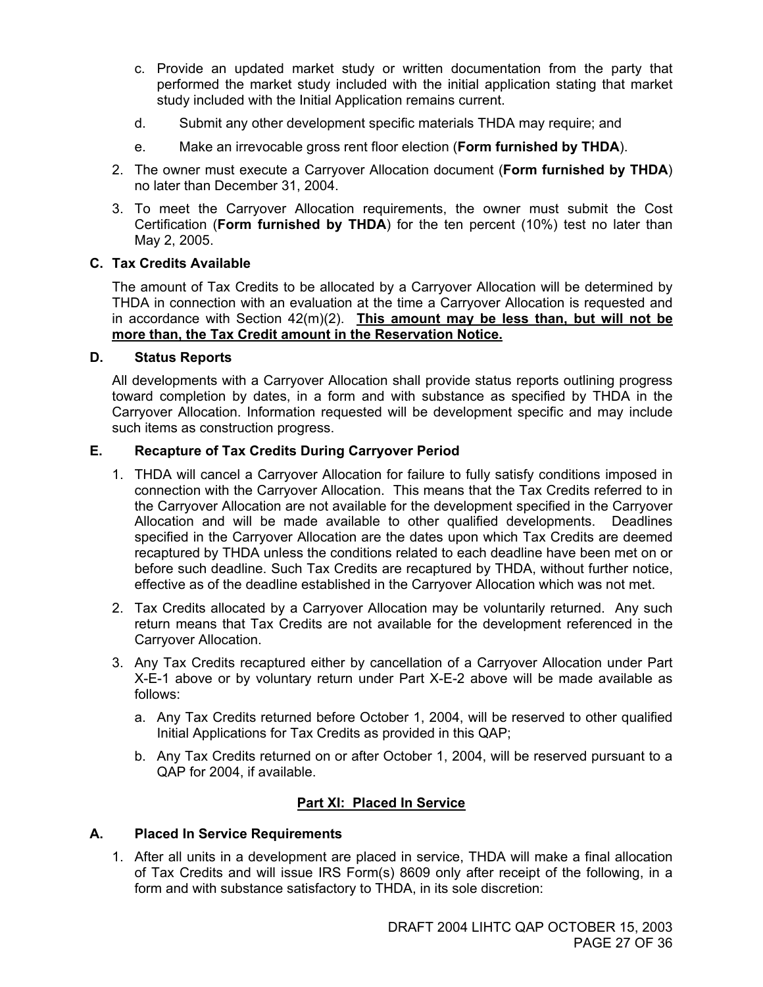- c. Provide an updated market study or written documentation from the party that performed the market study included with the initial application stating that market study included with the Initial Application remains current.
- d. Submit any other development specific materials THDA may require; and
- e. Make an irrevocable gross rent floor election (**Form furnished by THDA**).
- 2. The owner must execute a Carryover Allocation document (**Form furnished by THDA**) no later than December 31, 2004.
- 3. To meet the Carryover Allocation requirements, the owner must submit the Cost Certification (**Form furnished by THDA**) for the ten percent (10%) test no later than May 2, 2005.

#### **C. Tax Credits Available**

The amount of Tax Credits to be allocated by a Carryover Allocation will be determined by THDA in connection with an evaluation at the time a Carryover Allocation is requested and in accordance with Section 42(m)(2). **This amount may be less than, but will not be more than, the Tax Credit amount in the Reservation Notice.**

#### **D. Status Reports**

All developments with a Carryover Allocation shall provide status reports outlining progress toward completion by dates, in a form and with substance as specified by THDA in the Carryover Allocation. Information requested will be development specific and may include such items as construction progress.

#### **E. Recapture of Tax Credits During Carryover Period**

- 1. THDA will cancel a Carryover Allocation for failure to fully satisfy conditions imposed in connection with the Carryover Allocation. This means that the Tax Credits referred to in the Carryover Allocation are not available for the development specified in the Carryover Allocation and will be made available to other qualified developments. Deadlines specified in the Carryover Allocation are the dates upon which Tax Credits are deemed recaptured by THDA unless the conditions related to each deadline have been met on or before such deadline. Such Tax Credits are recaptured by THDA, without further notice, effective as of the deadline established in the Carryover Allocation which was not met.
- 2. Tax Credits allocated by a Carryover Allocation may be voluntarily returned. Any such return means that Tax Credits are not available for the development referenced in the Carryover Allocation.
- 3. Any Tax Credits recaptured either by cancellation of a Carryover Allocation under Part X-E-1 above or by voluntary return under Part X-E-2 above will be made available as follows:
	- a. Any Tax Credits returned before October 1, 2004, will be reserved to other qualified Initial Applications for Tax Credits as provided in this QAP;
	- b. Any Tax Credits returned on or after October 1, 2004, will be reserved pursuant to a QAP for 2004, if available.

#### **Part XI: Placed In Service**

#### **A. Placed In Service Requirements**

1. After all units in a development are placed in service, THDA will make a final allocation of Tax Credits and will issue IRS Form(s) 8609 only after receipt of the following, in a form and with substance satisfactory to THDA, in its sole discretion: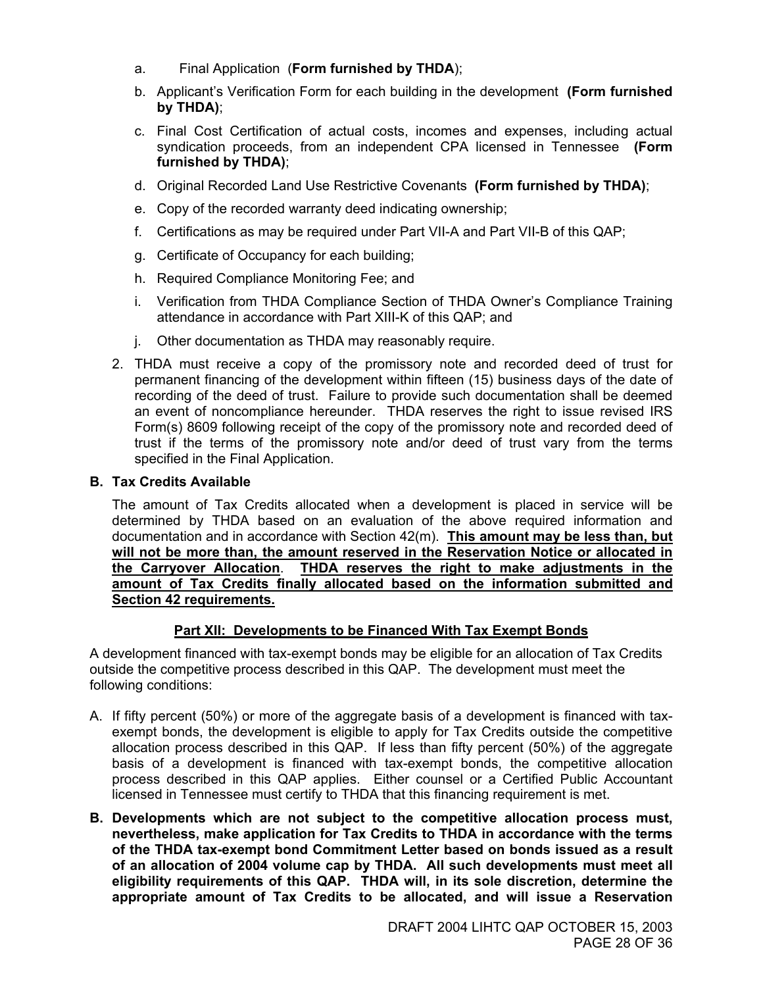- a. Final Application (**Form furnished by THDA**);
- b. Applicant's Verification Form for each building in the development **(Form furnished by THDA)**;
- c. Final Cost Certification of actual costs, incomes and expenses, including actual syndication proceeds, from an independent CPA licensed in Tennessee **(Form furnished by THDA)**;
- d. Original Recorded Land Use Restrictive Covenants **(Form furnished by THDA)**;
- e. Copy of the recorded warranty deed indicating ownership;
- f. Certifications as may be required under Part VII-A and Part VII-B of this QAP;
- g. Certificate of Occupancy for each building;
- h. Required Compliance Monitoring Fee; and
- i. Verification from THDA Compliance Section of THDA Owner's Compliance Training attendance in accordance with Part XIII-K of this QAP; and
- j. Other documentation as THDA may reasonably require.
- 2. THDA must receive a copy of the promissory note and recorded deed of trust for permanent financing of the development within fifteen (15) business days of the date of recording of the deed of trust. Failure to provide such documentation shall be deemed an event of noncompliance hereunder. THDA reserves the right to issue revised IRS Form(s) 8609 following receipt of the copy of the promissory note and recorded deed of trust if the terms of the promissory note and/or deed of trust vary from the terms specified in the Final Application.

#### **B. Tax Credits Available**

The amount of Tax Credits allocated when a development is placed in service will be determined by THDA based on an evaluation of the above required information and documentation and in accordance with Section 42(m). **This amount may be less than, but will not be more than, the amount reserved in the Reservation Notice or allocated in the Carryover Allocation**. **THDA reserves the right to make adjustments in the amount of Tax Credits finally allocated based on the information submitted and Section 42 requirements.**

#### **Part XII: Developments to be Financed With Tax Exempt Bonds**

A development financed with tax-exempt bonds may be eligible for an allocation of Tax Credits outside the competitive process described in this QAP. The development must meet the following conditions:

- A. If fifty percent (50%) or more of the aggregate basis of a development is financed with taxexempt bonds, the development is eligible to apply for Tax Credits outside the competitive allocation process described in this QAP. If less than fifty percent (50%) of the aggregate basis of a development is financed with tax-exempt bonds, the competitive allocation process described in this QAP applies. Either counsel or a Certified Public Accountant licensed in Tennessee must certify to THDA that this financing requirement is met.
- **B. Developments which are not subject to the competitive allocation process must, nevertheless, make application for Tax Credits to THDA in accordance with the terms of the THDA tax-exempt bond Commitment Letter based on bonds issued as a result of an allocation of 2004 volume cap by THDA. All such developments must meet all eligibility requirements of this QAP. THDA will, in its sole discretion, determine the appropriate amount of Tax Credits to be allocated, and will issue a Reservation**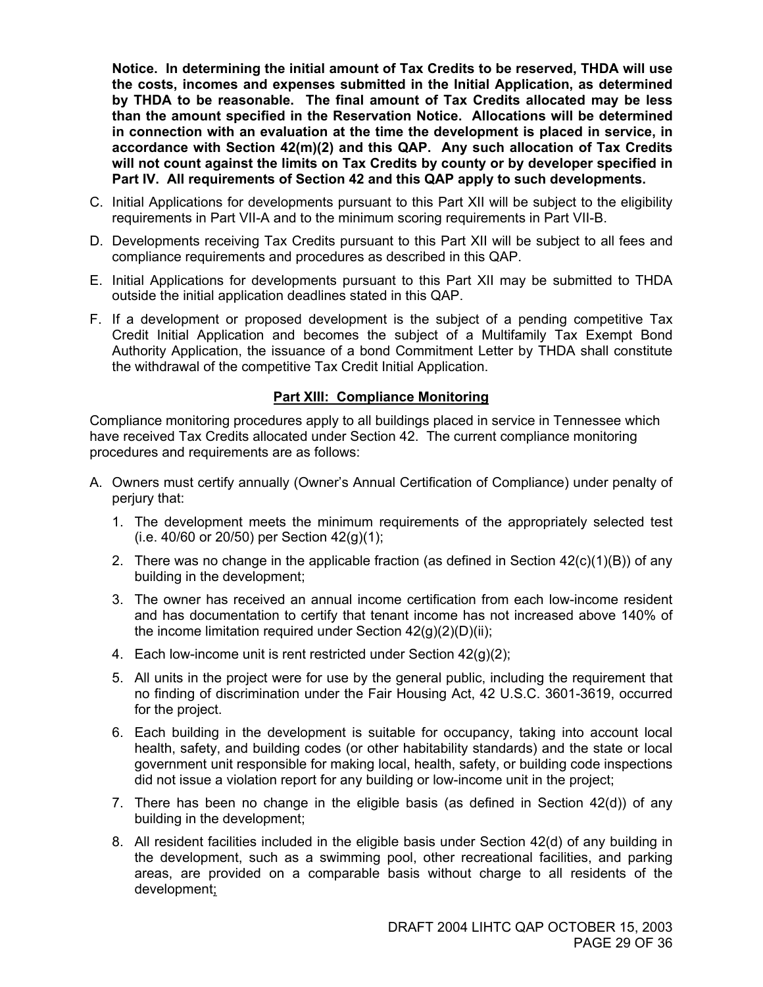**Notice. In determining the initial amount of Tax Credits to be reserved, THDA will use the costs, incomes and expenses submitted in the Initial Application, as determined by THDA to be reasonable. The final amount of Tax Credits allocated may be less than the amount specified in the Reservation Notice. Allocations will be determined in connection with an evaluation at the time the development is placed in service, in accordance with Section 42(m)(2) and this QAP. Any such allocation of Tax Credits will not count against the limits on Tax Credits by county or by developer specified in Part IV. All requirements of Section 42 and this QAP apply to such developments.** 

- C. Initial Applications for developments pursuant to this Part XII will be subject to the eligibility requirements in Part VII-A and to the minimum scoring requirements in Part VII-B.
- D. Developments receiving Tax Credits pursuant to this Part XII will be subject to all fees and compliance requirements and procedures as described in this QAP.
- E. Initial Applications for developments pursuant to this Part XII may be submitted to THDA outside the initial application deadlines stated in this QAP.
- F. If a development or proposed development is the subject of a pending competitive Tax Credit Initial Application and becomes the subject of a Multifamily Tax Exempt Bond Authority Application, the issuance of a bond Commitment Letter by THDA shall constitute the withdrawal of the competitive Tax Credit Initial Application.

#### **Part XIII: Compliance Monitoring**

Compliance monitoring procedures apply to all buildings placed in service in Tennessee which have received Tax Credits allocated under Section 42. The current compliance monitoring procedures and requirements are as follows:

- A. Owners must certify annually (Owner's Annual Certification of Compliance) under penalty of perjury that:
	- 1. The development meets the minimum requirements of the appropriately selected test (i.e.  $40/60$  or  $20/50$ ) per Section  $42(q)(1)$ ;
	- 2. There was no change in the applicable fraction (as defined in Section  $42(c)(1)(B)$ ) of any building in the development;
	- 3. The owner has received an annual income certification from each low-income resident and has documentation to certify that tenant income has not increased above 140% of the income limitation required under Section  $42(g)(2)(D)(ii)$ ;
	- 4. Each low-income unit is rent restricted under Section 42(g)(2);
	- 5. All units in the project were for use by the general public, including the requirement that no finding of discrimination under the Fair Housing Act, 42 U.S.C. 3601-3619, occurred for the project.
	- 6. Each building in the development is suitable for occupancy, taking into account local health, safety, and building codes (or other habitability standards) and the state or local government unit responsible for making local, health, safety, or building code inspections did not issue a violation report for any building or low-income unit in the project;
	- 7. There has been no change in the eligible basis (as defined in Section 42(d)) of any building in the development;
	- 8. All resident facilities included in the eligible basis under Section 42(d) of any building in the development, such as a swimming pool, other recreational facilities, and parking areas, are provided on a comparable basis without charge to all residents of the development;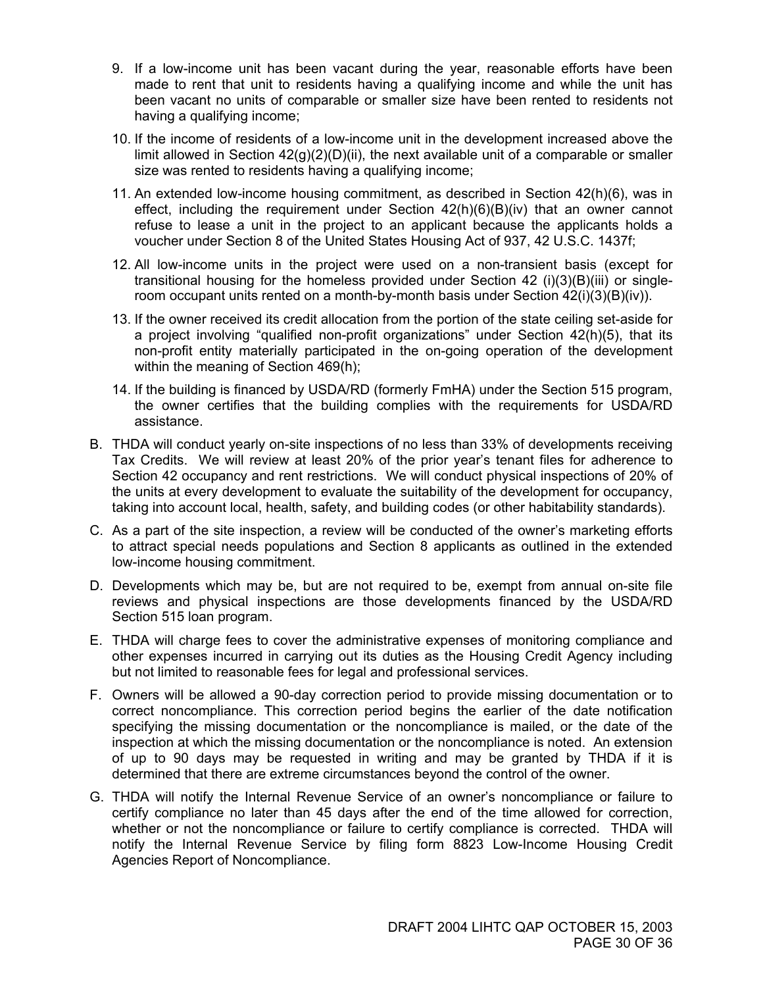- 9. If a low-income unit has been vacant during the year, reasonable efforts have been made to rent that unit to residents having a qualifying income and while the unit has been vacant no units of comparable or smaller size have been rented to residents not having a qualifying income;
- 10. If the income of residents of a low-income unit in the development increased above the limit allowed in Section  $42(q)(2)(D)(ii)$ , the next available unit of a comparable or smaller size was rented to residents having a qualifying income;
- 11. An extended low-income housing commitment, as described in Section 42(h)(6), was in effect, including the requirement under Section  $42(h)(6)(B)(iv)$  that an owner cannot refuse to lease a unit in the project to an applicant because the applicants holds a voucher under Section 8 of the United States Housing Act of 937, 42 U.S.C. 1437f;
- 12. All low-income units in the project were used on a non-transient basis (except for transitional housing for the homeless provided under Section 42 (i)(3)(B)(iii) or singleroom occupant units rented on a month-by-month basis under Section 42(i)(3)(B)(iv)).
- 13. If the owner received its credit allocation from the portion of the state ceiling set-aside for a project involving "qualified non-profit organizations" under Section 42(h)(5), that its non-profit entity materially participated in the on-going operation of the development within the meaning of Section 469(h);
- 14. If the building is financed by USDA/RD (formerly FmHA) under the Section 515 program, the owner certifies that the building complies with the requirements for USDA/RD assistance.
- B. THDA will conduct yearly on-site inspections of no less than 33% of developments receiving Tax Credits. We will review at least 20% of the prior year's tenant files for adherence to Section 42 occupancy and rent restrictions. We will conduct physical inspections of 20% of the units at every development to evaluate the suitability of the development for occupancy, taking into account local, health, safety, and building codes (or other habitability standards).
- C. As a part of the site inspection, a review will be conducted of the owner's marketing efforts to attract special needs populations and Section 8 applicants as outlined in the extended low-income housing commitment.
- D. Developments which may be, but are not required to be, exempt from annual on-site file reviews and physical inspections are those developments financed by the USDA/RD Section 515 loan program.
- E. THDA will charge fees to cover the administrative expenses of monitoring compliance and other expenses incurred in carrying out its duties as the Housing Credit Agency including but not limited to reasonable fees for legal and professional services.
- F. Owners will be allowed a 90-day correction period to provide missing documentation or to correct noncompliance. This correction period begins the earlier of the date notification specifying the missing documentation or the noncompliance is mailed, or the date of the inspection at which the missing documentation or the noncompliance is noted. An extension of up to 90 days may be requested in writing and may be granted by THDA if it is determined that there are extreme circumstances beyond the control of the owner.
- G. THDA will notify the Internal Revenue Service of an owner's noncompliance or failure to certify compliance no later than 45 days after the end of the time allowed for correction, whether or not the noncompliance or failure to certify compliance is corrected. THDA will notify the Internal Revenue Service by filing form 8823 Low-Income Housing Credit Agencies Report of Noncompliance.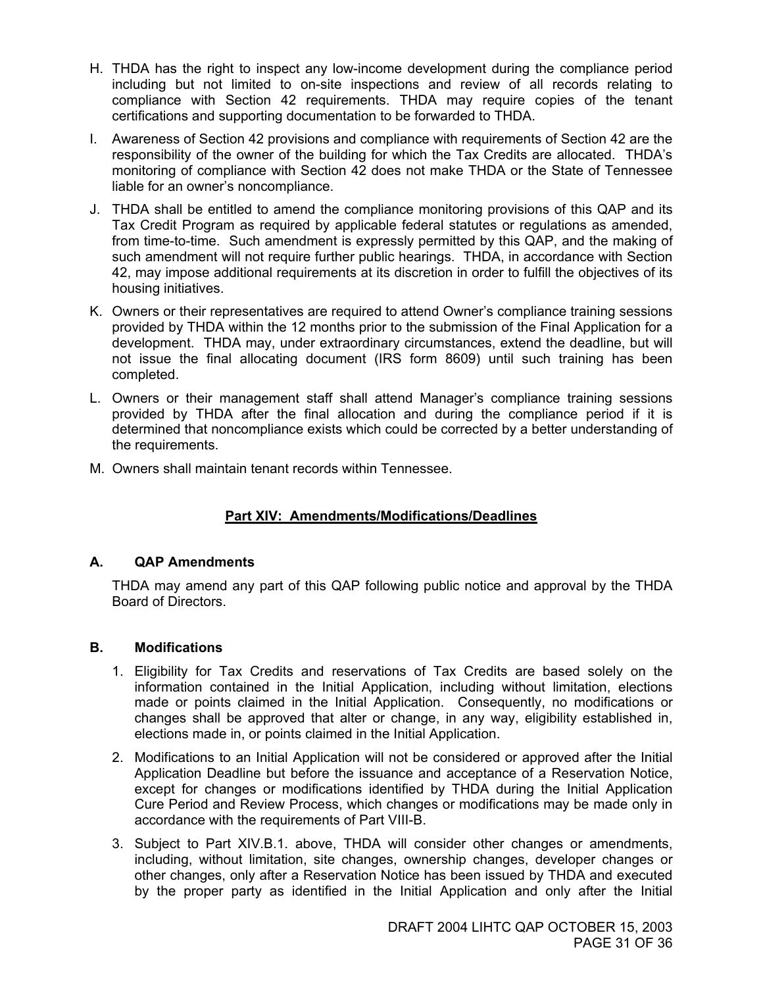- H. THDA has the right to inspect any low-income development during the compliance period including but not limited to on-site inspections and review of all records relating to compliance with Section 42 requirements. THDA may require copies of the tenant certifications and supporting documentation to be forwarded to THDA.
- I. Awareness of Section 42 provisions and compliance with requirements of Section 42 are the responsibility of the owner of the building for which the Tax Credits are allocated. THDA's monitoring of compliance with Section 42 does not make THDA or the State of Tennessee liable for an owner's noncompliance.
- J. THDA shall be entitled to amend the compliance monitoring provisions of this QAP and its Tax Credit Program as required by applicable federal statutes or regulations as amended, from time-to-time. Such amendment is expressly permitted by this QAP, and the making of such amendment will not require further public hearings. THDA, in accordance with Section 42, may impose additional requirements at its discretion in order to fulfill the objectives of its housing initiatives.
- K. Owners or their representatives are required to attend Owner's compliance training sessions provided by THDA within the 12 months prior to the submission of the Final Application for a development. THDA may, under extraordinary circumstances, extend the deadline, but will not issue the final allocating document (IRS form 8609) until such training has been completed.
- L. Owners or their management staff shall attend Manager's compliance training sessions provided by THDA after the final allocation and during the compliance period if it is determined that noncompliance exists which could be corrected by a better understanding of the requirements.
- M. Owners shall maintain tenant records within Tennessee.

#### **Part XIV: Amendments/Modifications/Deadlines**

#### **A. QAP Amendments**

THDA may amend any part of this QAP following public notice and approval by the THDA Board of Directors.

#### **B. Modifications**

- 1. Eligibility for Tax Credits and reservations of Tax Credits are based solely on the information contained in the Initial Application, including without limitation, elections made or points claimed in the Initial Application. Consequently, no modifications or changes shall be approved that alter or change, in any way, eligibility established in, elections made in, or points claimed in the Initial Application.
- 2. Modifications to an Initial Application will not be considered or approved after the Initial Application Deadline but before the issuance and acceptance of a Reservation Notice, except for changes or modifications identified by THDA during the Initial Application Cure Period and Review Process, which changes or modifications may be made only in accordance with the requirements of Part VIII-B.
- 3. Subject to Part XIV.B.1. above, THDA will consider other changes or amendments, including, without limitation, site changes, ownership changes, developer changes or other changes, only after a Reservation Notice has been issued by THDA and executed by the proper party as identified in the Initial Application and only after the Initial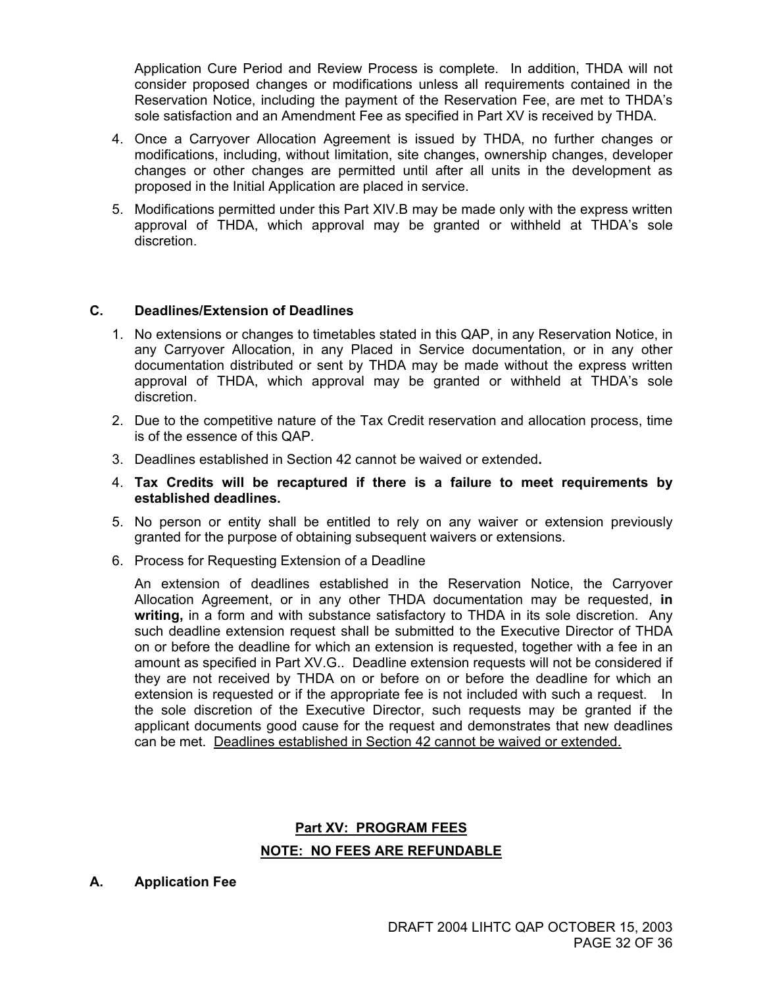Application Cure Period and Review Process is complete. In addition, THDA will not consider proposed changes or modifications unless all requirements contained in the Reservation Notice, including the payment of the Reservation Fee, are met to THDA's sole satisfaction and an Amendment Fee as specified in Part XV is received by THDA.

- 4. Once a Carryover Allocation Agreement is issued by THDA, no further changes or modifications, including, without limitation, site changes, ownership changes, developer changes or other changes are permitted until after all units in the development as proposed in the Initial Application are placed in service.
- 5. Modifications permitted under this Part XIV.B may be made only with the express written approval of THDA, which approval may be granted or withheld at THDA's sole discretion.

#### **C. Deadlines/Extension of Deadlines**

- 1. No extensions or changes to timetables stated in this QAP, in any Reservation Notice, in any Carryover Allocation, in any Placed in Service documentation, or in any other documentation distributed or sent by THDA may be made without the express written approval of THDA, which approval may be granted or withheld at THDA's sole discretion.
- 2. Due to the competitive nature of the Tax Credit reservation and allocation process, time is of the essence of this QAP.
- 3. Deadlines established in Section 42 cannot be waived or extended**.**
- 4. **Tax Credits will be recaptured if there is a failure to meet requirements by established deadlines.**
- 5. No person or entity shall be entitled to rely on any waiver or extension previously granted for the purpose of obtaining subsequent waivers or extensions.
- 6. Process for Requesting Extension of a Deadline

 An extension of deadlines established in the Reservation Notice, the Carryover Allocation Agreement, or in any other THDA documentation may be requested, **in writing,** in a form and with substance satisfactory to THDA in its sole discretion. Any such deadline extension request shall be submitted to the Executive Director of THDA on or before the deadline for which an extension is requested, together with a fee in an amount as specified in Part XV.G.. Deadline extension requests will not be considered if they are not received by THDA on or before on or before the deadline for which an extension is requested or if the appropriate fee is not included with such a request. In the sole discretion of the Executive Director, such requests may be granted if the applicant documents good cause for the request and demonstrates that new deadlines can be met. Deadlines established in Section 42 cannot be waived or extended.

#### **Part XV: PROGRAM FEES NOTE: NO FEES ARE REFUNDABLE**

#### **A. Application Fee**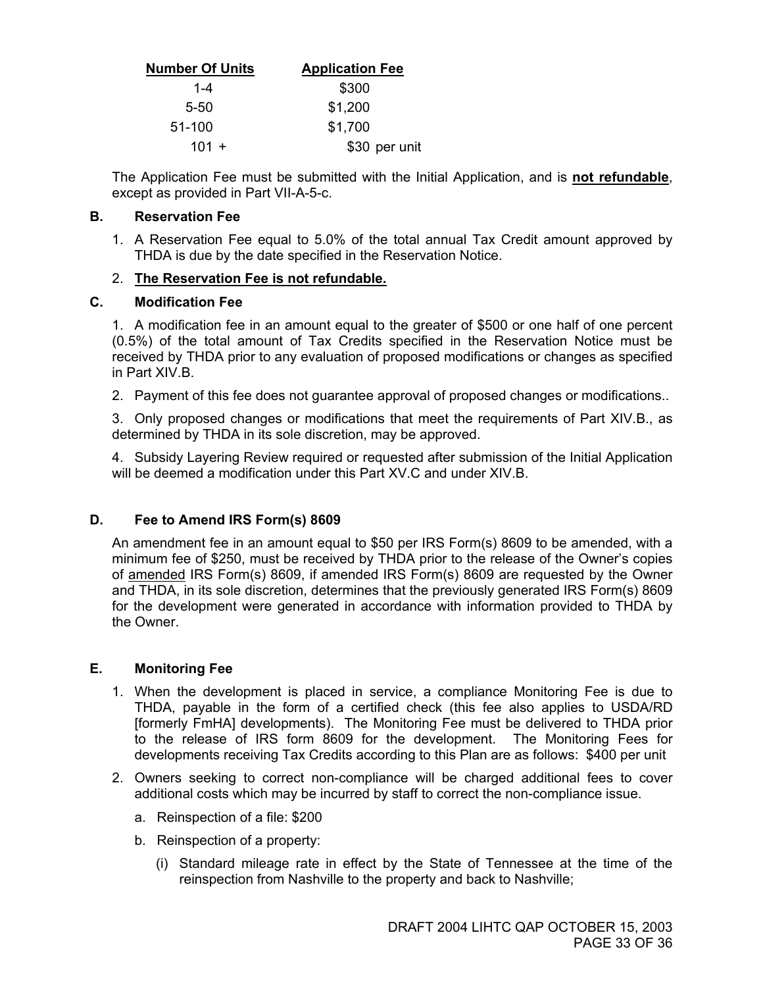| <b>Number Of Units</b> | <b>Application Fee</b> |
|------------------------|------------------------|
| $1 - 4$                | \$300                  |
| 5-50                   | \$1,200                |
| 51-100                 | \$1,700                |
| $101 +$                | \$30 per unit          |

The Application Fee must be submitted with the Initial Application, and is **not refundable**, except as provided in Part VII-A-5-c.

#### **B. Reservation Fee**

1. A Reservation Fee equal to 5.0% of the total annual Tax Credit amount approved by THDA is due by the date specified in the Reservation Notice.

#### 2. **The Reservation Fee is not refundable.**

#### **C. Modification Fee**

1. A modification fee in an amount equal to the greater of \$500 or one half of one percent (0.5%) of the total amount of Tax Credits specified in the Reservation Notice must be received by THDA prior to any evaluation of proposed modifications or changes as specified in Part XIV.B.

2. Payment of this fee does not guarantee approval of proposed changes or modifications..

3. Only proposed changes or modifications that meet the requirements of Part XIV.B., as determined by THDA in its sole discretion, may be approved.

4. Subsidy Layering Review required or requested after submission of the Initial Application will be deemed a modification under this Part XV.C and under XIV.B.

#### **D. Fee to Amend IRS Form(s) 8609**

An amendment fee in an amount equal to \$50 per IRS Form(s) 8609 to be amended, with a minimum fee of \$250, must be received by THDA prior to the release of the Owner's copies of amended IRS Form(s) 8609, if amended IRS Form(s) 8609 are requested by the Owner and THDA, in its sole discretion, determines that the previously generated IRS Form(s) 8609 for the development were generated in accordance with information provided to THDA by the Owner.

#### **E. Monitoring Fee**

- 1. When the development is placed in service, a compliance Monitoring Fee is due to THDA, payable in the form of a certified check (this fee also applies to USDA/RD [formerly FmHA] developments). The Monitoring Fee must be delivered to THDA prior to the release of IRS form 8609 for the development. The Monitoring Fees for developments receiving Tax Credits according to this Plan are as follows: \$400 per unit
- 2. Owners seeking to correct non-compliance will be charged additional fees to cover additional costs which may be incurred by staff to correct the non-compliance issue.
	- a. Reinspection of a file: \$200
	- b. Reinspection of a property:
		- (i) Standard mileage rate in effect by the State of Tennessee at the time of the reinspection from Nashville to the property and back to Nashville;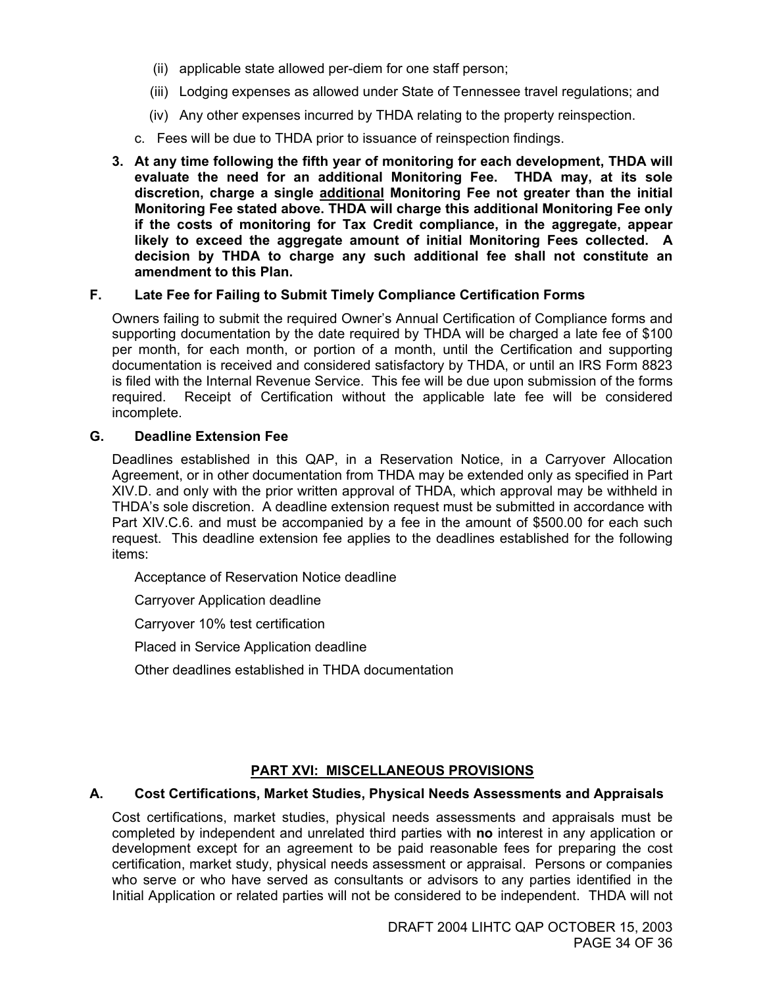- (ii) applicable state allowed per-diem for one staff person;
- (iii) Lodging expenses as allowed under State of Tennessee travel regulations; and
- (iv) Any other expenses incurred by THDA relating to the property reinspection.
- c. Fees will be due to THDA prior to issuance of reinspection findings.
- **3. At any time following the fifth year of monitoring for each development, THDA will evaluate the need for an additional Monitoring Fee. THDA may, at its sole discretion, charge a single additional Monitoring Fee not greater than the initial Monitoring Fee stated above. THDA will charge this additional Monitoring Fee only if the costs of monitoring for Tax Credit compliance, in the aggregate, appear likely to exceed the aggregate amount of initial Monitoring Fees collected. A decision by THDA to charge any such additional fee shall not constitute an amendment to this Plan.**

#### **F. Late Fee for Failing to Submit Timely Compliance Certification Forms**

Owners failing to submit the required Owner's Annual Certification of Compliance forms and supporting documentation by the date required by THDA will be charged a late fee of \$100 per month, for each month, or portion of a month, until the Certification and supporting documentation is received and considered satisfactory by THDA, or until an IRS Form 8823 is filed with the Internal Revenue Service. This fee will be due upon submission of the forms required. Receipt of Certification without the applicable late fee will be considered incomplete.

#### **G. Deadline Extension Fee**

Deadlines established in this QAP, in a Reservation Notice, in a Carryover Allocation Agreement, or in other documentation from THDA may be extended only as specified in Part XIV.D. and only with the prior written approval of THDA, which approval may be withheld in THDA's sole discretion. A deadline extension request must be submitted in accordance with Part XIV.C.6. and must be accompanied by a fee in the amount of \$500.00 for each such request. This deadline extension fee applies to the deadlines established for the following items:

Acceptance of Reservation Notice deadline

Carryover Application deadline

Carryover 10% test certification

Placed in Service Application deadline

Other deadlines established in THDA documentation

#### **PART XVI: MISCELLANEOUS PROVISIONS**

#### **A. Cost Certifications, Market Studies, Physical Needs Assessments and Appraisals**

Cost certifications, market studies, physical needs assessments and appraisals must be completed by independent and unrelated third parties with **no** interest in any application or development except for an agreement to be paid reasonable fees for preparing the cost certification, market study, physical needs assessment or appraisal. Persons or companies who serve or who have served as consultants or advisors to any parties identified in the Initial Application or related parties will not be considered to be independent. THDA will not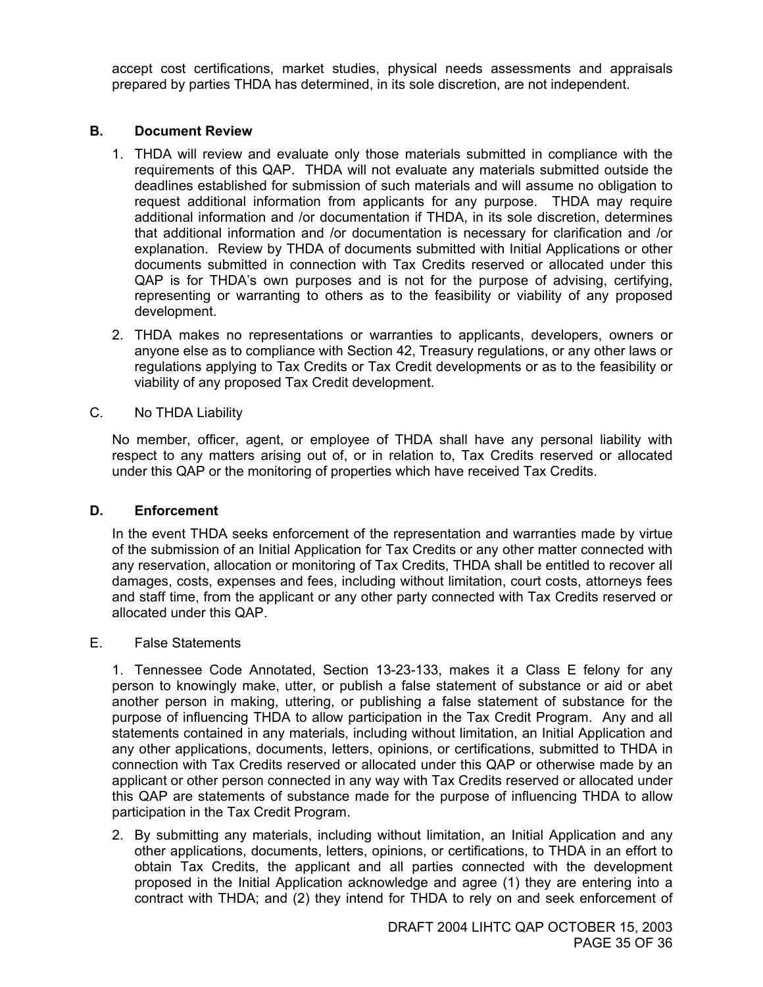accept cost certifications, market studies, physical needs assessments and appraisals prepared by parties THDA has determined, in its sole discretion, are not independent.

#### **B. Document Review**

- 1. THDA will review and evaluate only those materials submitted in compliance with the requirements of this QAP. THDA will not evaluate any materials submitted outside the deadlines established for submission of such materials and will assume no obligation to request additional information from applicants for any purpose. THDA may require additional information and /or documentation if THDA, in its sole discretion, determines that additional information and /or documentation is necessary for clarification and /or explanation. Review by THDA of documents submitted with Initial Applications or other documents submitted in connection with Tax Credits reserved or allocated under this QAP is for THDA's own purposes and is not for the purpose of advising, certifying, representing or warranting to others as to the feasibility or viability of any proposed development.
- 2. THDA makes no representations or warranties to applicants, developers, owners or anyone else as to compliance with Section 42, Treasury regulations, or any other laws or regulations applying to Tax Credits or Tax Credit developments or as to the feasibility or viability of any proposed Tax Credit development.
- C. No THDA Liability

No member, officer, agent, or employee of THDA shall have any personal liability with respect to any matters arising out of, or in relation to, Tax Credits reserved or allocated under this QAP or the monitoring of properties which have received Tax Credits.

#### **D. Enforcement**

In the event THDA seeks enforcement of the representation and warranties made by virtue of the submission of an Initial Application for Tax Credits or any other matter connected with any reservation, allocation or monitoring of Tax Credits, THDA shall be entitled to recover all damages, costs, expenses and fees, including without limitation, court costs, attorneys fees and staff time, from the applicant or any other party connected with Tax Credits reserved or allocated under this QAP.

E. False Statements

1. Tennessee Code Annotated, Section 13-23-133, makes it a Class E felony for any person to knowingly make, utter, or publish a false statement of substance or aid or abet another person in making, uttering, or publishing a false statement of substance for the purpose of influencing THDA to allow participation in the Tax Credit Program. Any and all statements contained in any materials, including without limitation, an Initial Application and any other applications, documents, letters, opinions, or certifications, submitted to THDA in connection with Tax Credits reserved or allocated under this QAP or otherwise made by an applicant or other person connected in any way with Tax Credits reserved or allocated under this QAP are statements of substance made for the purpose of influencing THDA to allow participation in the Tax Credit Program.

2. By submitting any materials, including without limitation, an Initial Application and any other applications, documents, letters, opinions, or certifications, to THDA in an effort to obtain Tax Credits, the applicant and all parties connected with the development proposed in the Initial Application acknowledge and agree (1) they are entering into a contract with THDA; and (2) they intend for THDA to rely on and seek enforcement of